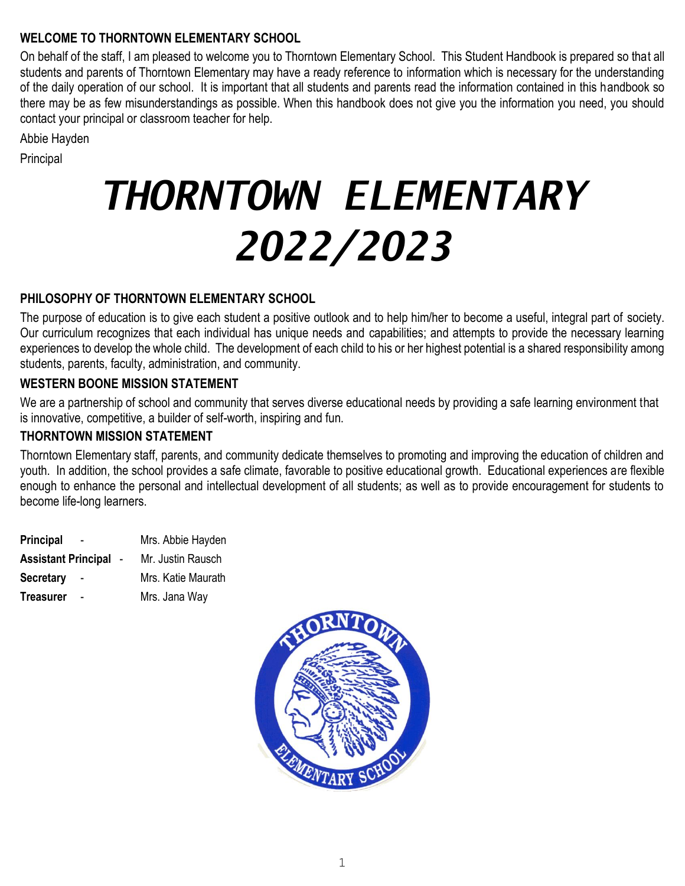## **WELCOME TO THORNTOWN ELEMENTARY SCHOOL**

On behalf of the staff, I am pleased to welcome you to Thorntown Elementary School. This Student Handbook is prepared so that all students and parents of Thorntown Elementary may have a ready reference to information which is necessary for the understanding of the daily operation of our school. It is important that all students and parents read the information contained in this handbook so there may be as few misunderstandings as possible. When this handbook does not give you the information you need, you should contact your principal or classroom teacher for help.

Abbie Hayden

Principal

# *THORNTOWN ELEMENTARY 2022/2023*

## **PHILOSOPHY OF THORNTOWN ELEMENTARY SCHOOL**

The purpose of education is to give each student a positive outlook and to help him/her to become a useful, integral part of society. Our curriculum recognizes that each individual has unique needs and capabilities; and attempts to provide the necessary learning experiences to develop the whole child. The development of each child to his or her highest potential is a shared responsibility among students, parents, faculty, administration, and community.

## **WESTERN BOONE MISSION STATEMENT**

We are a partnership of school and community that serves diverse educational needs by providing a safe learning environment that is innovative, competitive, a builder of self-worth, inspiring and fun.

## **THORNTOWN MISSION STATEMENT**

Thorntown Elementary staff, parents, and community dedicate themselves to promoting and improving the education of children and youth. In addition, the school provides a safe climate, favorable to positive educational growth. Educational experiences are flexible enough to enhance the personal and intellectual development of all students; as well as to provide encouragement for students to become life-long learners.

**Principal** - Mrs. Abbie Hayden **Assistant Principal** - Mr. Justin Rausch **Secretary** - Mrs. Katie Maurath **Treasurer** - Mrs. Jana Way

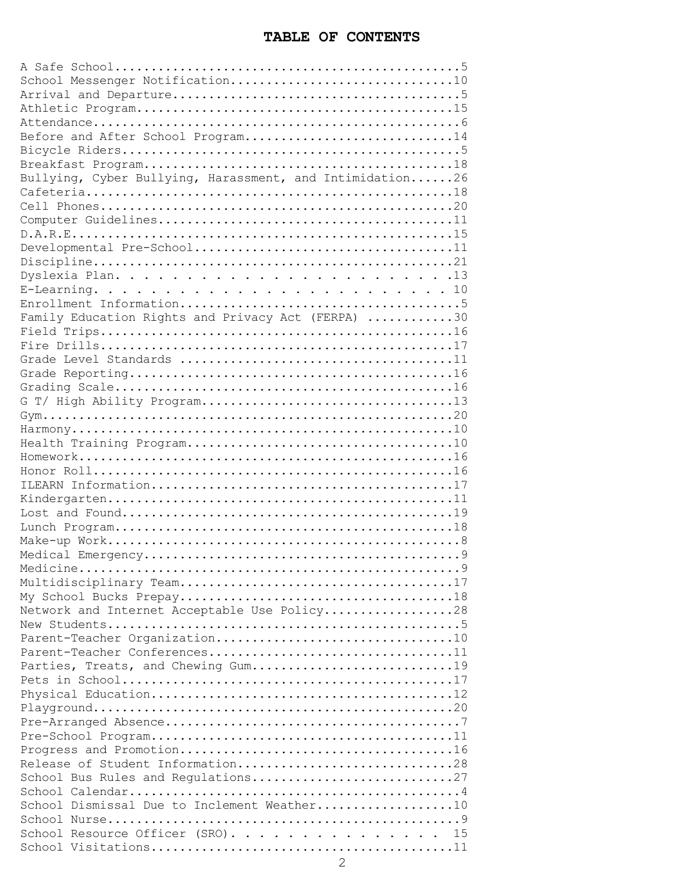#### **TABLE OF CONTENTS**

| Before and After School Program14                        |
|----------------------------------------------------------|
|                                                          |
|                                                          |
| Bullying, Cyber Bullying, Harassment, and Intimidation26 |
|                                                          |
|                                                          |
|                                                          |
|                                                          |
|                                                          |
|                                                          |
|                                                          |
|                                                          |
|                                                          |
|                                                          |
| Family Education Rights and Privacy Act (FERPA) 30       |
|                                                          |
|                                                          |
|                                                          |
|                                                          |
|                                                          |
|                                                          |
|                                                          |
|                                                          |
|                                                          |
|                                                          |
|                                                          |
|                                                          |
|                                                          |
|                                                          |
|                                                          |
|                                                          |
|                                                          |
|                                                          |
|                                                          |
|                                                          |
|                                                          |
| Network and Internet Acceptable Use Policy28             |
|                                                          |
|                                                          |
| Parent-Teacher Conferences11                             |
| Parties, Treats, and Chewing Gum19                       |
|                                                          |
|                                                          |
|                                                          |
|                                                          |
|                                                          |
|                                                          |
| Release of Student Information28                         |
| School Bus Rules and Regulations27                       |
|                                                          |
| School Dismissal Due to Inclement Weather10              |
|                                                          |
| School Resource Officer (SRO) 15                         |
|                                                          |
|                                                          |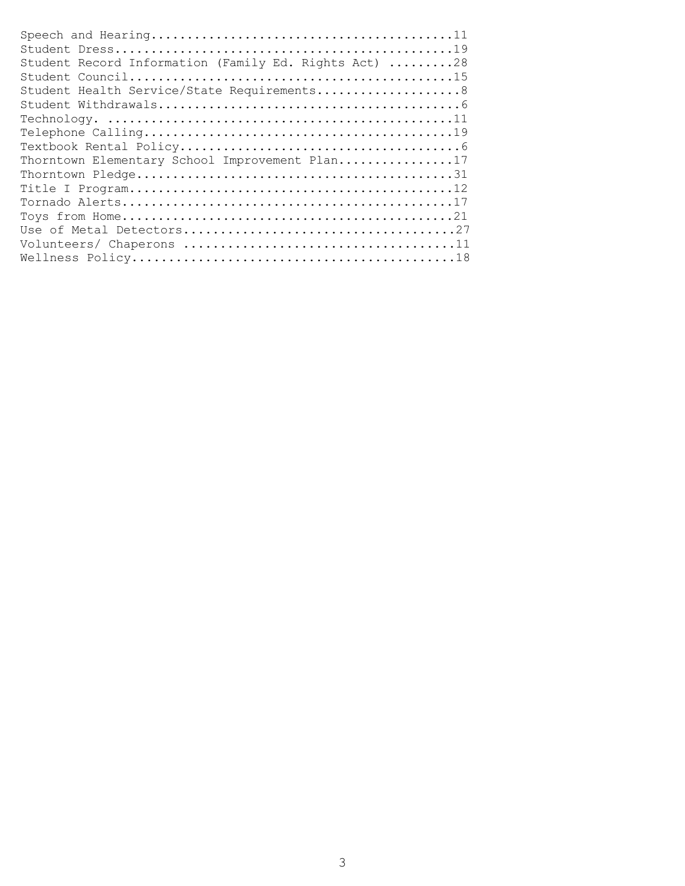| Student Record Information (Family Ed. Rights Act) 28 |
|-------------------------------------------------------|
|                                                       |
| Student Health Service/State Requirements8            |
|                                                       |
|                                                       |
|                                                       |
|                                                       |
| Thorntown Elementary School Improvement Plan17        |
|                                                       |
|                                                       |
|                                                       |
|                                                       |
|                                                       |
|                                                       |
|                                                       |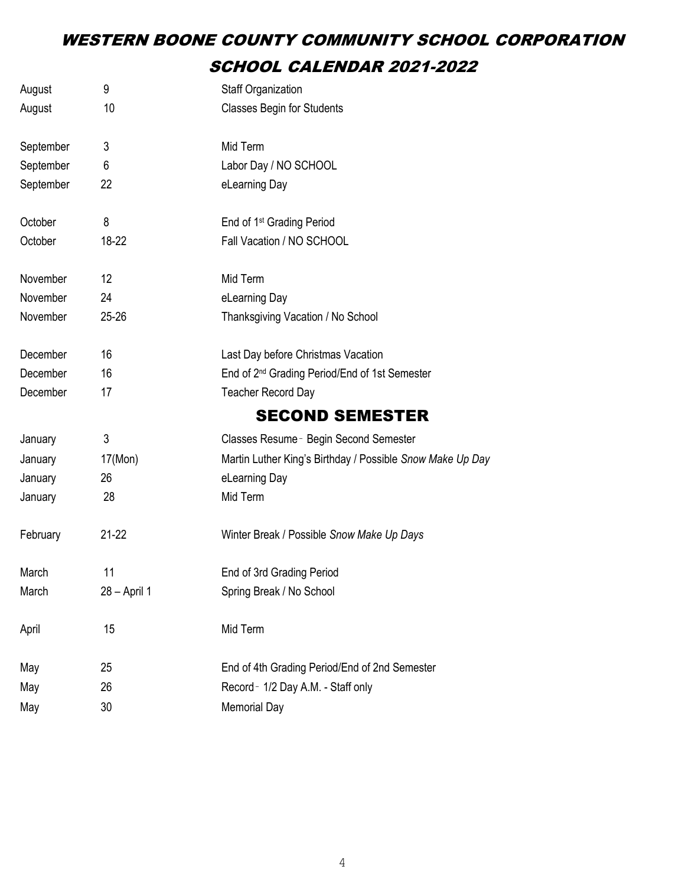# WESTERN BOONE COUNTY COMMUNITY SCHOOL CORPORATION SCHOOL CALENDAR 2021-2022

| August    | 9            | <b>Staff Organization</b>                                 |
|-----------|--------------|-----------------------------------------------------------|
| August    | 10           | <b>Classes Begin for Students</b>                         |
| September | 3            | Mid Term                                                  |
| September | 6            | Labor Day / NO SCHOOL                                     |
| September | 22           | eLearning Day                                             |
| October   | 8            | End of 1 <sup>st</sup> Grading Period                     |
| October   | 18-22        | Fall Vacation / NO SCHOOL                                 |
| November  | 12           | Mid Term                                                  |
| November  | 24           | eLearning Day                                             |
| November  | $25 - 26$    | Thanksgiving Vacation / No School                         |
| December  | 16           | Last Day before Christmas Vacation                        |
| December  | 16           | End of 2 <sup>nd</sup> Grading Period/End of 1st Semester |
| December  | 17           | <b>Teacher Record Day</b>                                 |
|           |              | <b>SECOND SEMESTER</b>                                    |
| January   | 3            | Classes Resume - Begin Second Semester                    |
| January   | 17(Mon)      | Martin Luther King's Birthday / Possible Snow Make Up Day |
| January   | 26           | eLearning Day                                             |
| January   | 28           | Mid Term                                                  |
| February  | $21 - 22$    | Winter Break / Possible Snow Make Up Days                 |
| March     | 11           | End of 3rd Grading Period                                 |
| March     | 28 - April 1 | Spring Break / No School                                  |
| April     | 15           | Mid Term                                                  |
| May       | 25           | End of 4th Grading Period/End of 2nd Semester             |
| May       | 26           | Record - 1/2 Day A.M. - Staff only                        |
| May       | 30           | <b>Memorial Day</b>                                       |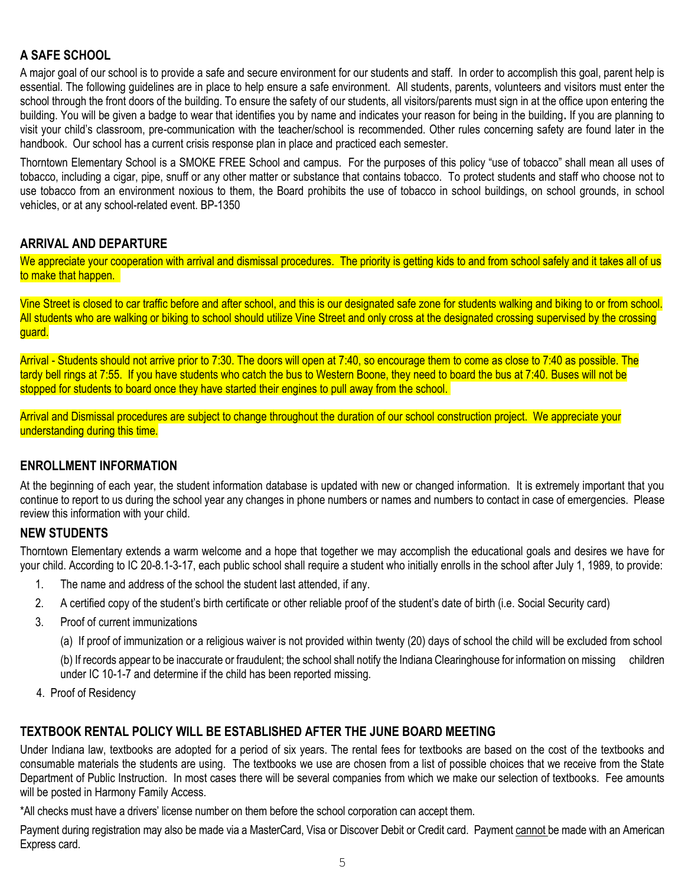## **A SAFE SCHOOL**

A major goal of our school is to provide a safe and secure environment for our students and staff. In order to accomplish this goal, parent help is essential. The following guidelines are in place to help ensure a safe environment. All students, parents, volunteers and visitors must enter the school through the front doors of the building. To ensure the safety of our students, all visitors/parents must sign in at the office upon entering the building. You will be given a badge to wear that identifies you by name and indicates your reason for being in the building**.** If you are planning to visit your child's classroom, pre-communication with the teacher/school is recommended. Other rules concerning safety are found later in the handbook. Our school has a current crisis response plan in place and practiced each semester.

Thorntown Elementary School is a SMOKE FREE School and campus. For the purposes of this policy "use of tobacco" shall mean all uses of tobacco, including a cigar, pipe, snuff or any other matter or substance that contains tobacco. To protect students and staff who choose not to use tobacco from an environment noxious to them, the Board prohibits the use of tobacco in school buildings, on school grounds, in school vehicles, or at any school-related event. BP-1350

#### **ARRIVAL AND DEPARTURE**

We appreciate your cooperation with arrival and dismissal procedures. The priority is getting kids to and from school safely and it takes all of us to make that happen.

Vine Street is closed to car traffic before and after school, and this is our designated safe zone for students walking and biking to or from school. All students who are walking or biking to school should utilize Vine Street and only cross at the designated crossing supervised by the crossing guard.

Arrival - Students should not arrive prior to 7:30. The doors will open at 7:40, so encourage them to come as close to 7:40 as possible. The tardy bell rings at 7:55. If you have students who catch the bus to Western Boone, they need to board the bus at 7:40. Buses will not be stopped for students to board once they have started their engines to pull away from the school.

Arrival and Dismissal procedures are subject to change throughout the duration of our school construction project. We appreciate your understanding during this time.

#### **ENROLLMENT INFORMATION**

At the beginning of each year, the student information database is updated with new or changed information. It is extremely important that you continue to report to us during the school year any changes in phone numbers or names and numbers to contact in case of emergencies. Please review this information with your child.

#### **NEW STUDENTS**

Thorntown Elementary extends a warm welcome and a hope that together we may accomplish the educational goals and desires we have for your child. According to IC 20-8.1-3-17, each public school shall require a student who initially enrolls in the school after July 1, 1989, to provide:

- 1. The name and address of the school the student last attended, if any.
- 2. A certified copy of the student's birth certificate or other reliable proof of the student's date of birth (i.e. Social Security card)
- 3. Proof of current immunizations

(a) If proof of immunization or a religious waiver is not provided within twenty (20) days of school the child will be excluded from school

(b) If records appear to be inaccurate or fraudulent; the school shall notify the Indiana Clearinghouse for information on missing children under IC 10-1-7 and determine if the child has been reported missing.

4. Proof of Residency

#### **TEXTBOOK RENTAL POLICY WILL BE ESTABLISHED AFTER THE JUNE BOARD MEETING**

Under Indiana law, textbooks are adopted for a period of six years. The rental fees for textbooks are based on the cost of the textbooks and consumable materials the students are using. The textbooks we use are chosen from a list of possible choices that we receive from the State Department of Public Instruction. In most cases there will be several companies from which we make our selection of textbooks. Fee amounts will be posted in Harmony Family Access.

\*All checks must have a drivers' license number on them before the school corporation can accept them.

Payment during registration may also be made via a MasterCard, Visa or Discover Debit or Credit card. Payment cannot be made with an American Express card.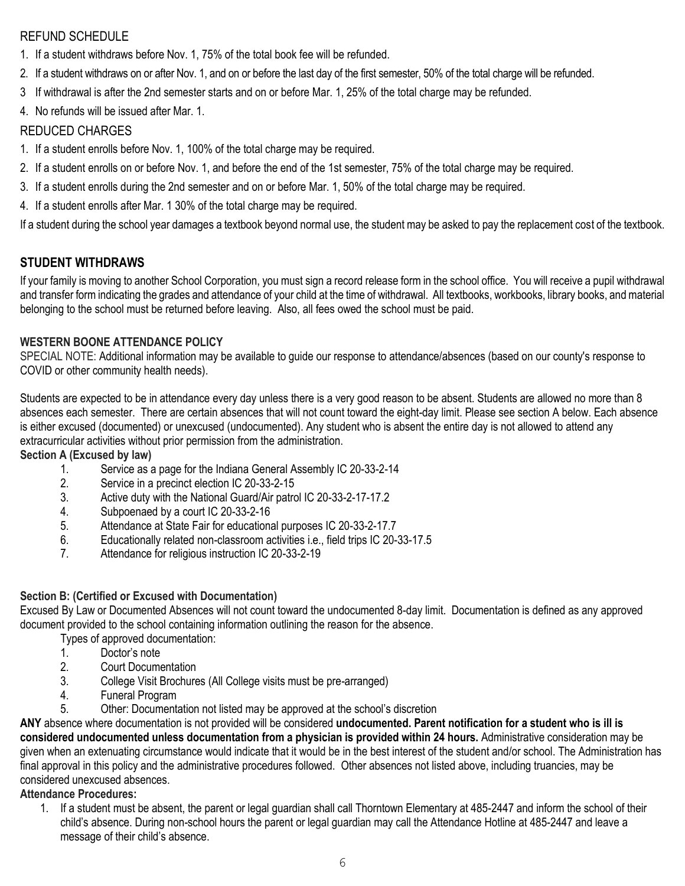## REFUND SCHEDULE

- 1. If a student withdraws before Nov. 1, 75% of the total book fee will be refunded.
- 2. If a student withdraws on or after Nov. 1, and on or before the last day of the first semester, 50% of the total charge will be refunded.
- 3 If withdrawal is after the 2nd semester starts and on or before Mar. 1, 25% of the total charge may be refunded.
- 4. No refunds will be issued after Mar. 1.

#### REDUCED CHARGES

- 1. If a student enrolls before Nov. 1, 100% of the total charge may be required.
- 2. If a student enrolls on or before Nov. 1, and before the end of the 1st semester, 75% of the total charge may be required.
- 3. If a student enrolls during the 2nd semester and on or before Mar. 1, 50% of the total charge may be required.
- 4. If a student enrolls after Mar. 1 30% of the total charge may be required.

If a student during the school year damages a textbook beyond normal use, the student may be asked to pay the replacement cost of the textbook.

#### **STUDENT WITHDRAWS**

If your family is moving to another School Corporation, you must sign a record release form in the school office. You will receive a pupil withdrawal and transfer form indicating the grades and attendance of your child at the time of withdrawal. All textbooks, workbooks, library books, and material belonging to the school must be returned before leaving. Also, all fees owed the school must be paid.

#### **WESTERN BOONE ATTENDANCE POLICY**

SPECIAL NOTE: Additional information may be available to guide our response to attendance/absences (based on our county's response to COVID or other community health needs).

Students are expected to be in attendance every day unless there is a very good reason to be absent. Students are allowed no more than 8 absences each semester. There are certain absences that will not count toward the eight-day limit. Please see section A below. Each absence is either excused (documented) or unexcused (undocumented). Any student who is absent the entire day is not allowed to attend any extracurricular activities without prior permission from the administration.

**Section A (Excused by law)**

- 1. Service as a page for the Indiana General Assembly IC 20-33-2-14
- 2. Service in a precinct election IC 20-33-2-15
- 3. Active duty with the National Guard/Air patrol IC 20-33-2-17-17.2
- 4. Subpoenaed by a court IC 20-33-2-16
- 5. Attendance at State Fair for educational purposes IC 20-33-2-17.7
- 6. Educationally related non-classroom activities i.e., field trips IC 20-33-17.5
- 7. Attendance for religious instruction IC 20-33-2-19

#### **Section B: (Certified or Excused with Documentation)**

Excused By Law or Documented Absences will not count toward the undocumented 8-day limit. Documentation is defined as any approved document provided to the school containing information outlining the reason for the absence.

Types of approved documentation:

- 1. Doctor's note
- 2. Court Documentation
- 3. College Visit Brochures (All College visits must be pre-arranged)
- 4. Funeral Program
- 5. Other: Documentation not listed may be approved at the school's discretion

**ANY** absence where documentation is not provided will be considered **undocumented. Parent notification for a student who is ill is considered undocumented unless documentation from a physician is provided within 24 hours.** Administrative consideration may be given when an extenuating circumstance would indicate that it would be in the best interest of the student and/or school. The Administration has final approval in this policy and the administrative procedures followed. Other absences not listed above, including truancies, may be considered unexcused absences.

#### **Attendance Procedures:**

1. If a student must be absent, the parent or legal guardian shall call Thorntown Elementary at 485-2447 and inform the school of their child's absence. During non-school hours the parent or legal guardian may call the Attendance Hotline at 485-2447 and leave a message of their child's absence.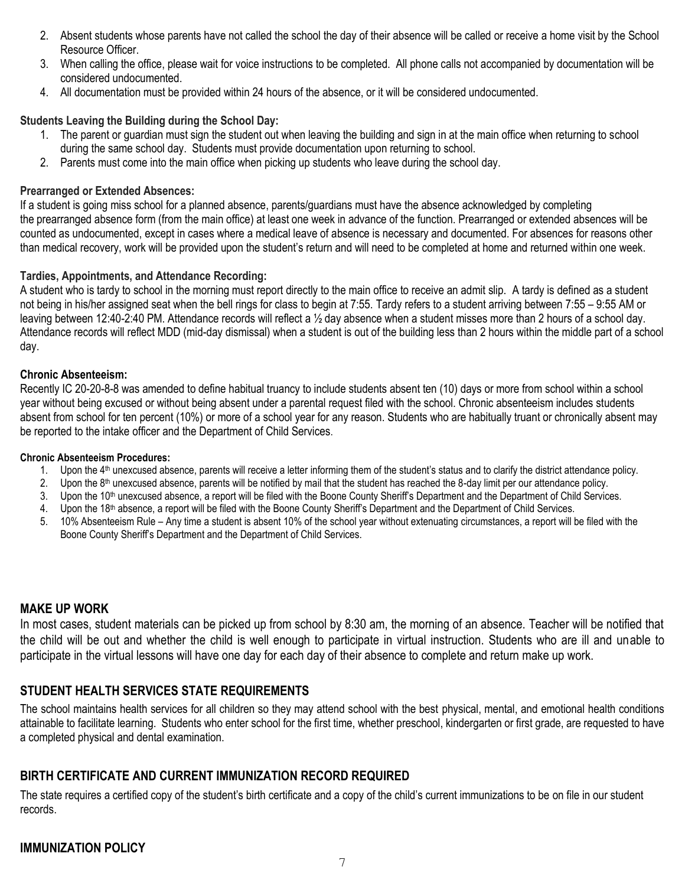- 2. Absent students whose parents have not called the school the day of their absence will be called or receive a home visit by the School Resource Officer.
- 3. When calling the office, please wait for voice instructions to be completed. All phone calls not accompanied by documentation will be considered undocumented.
- 4. All documentation must be provided within 24 hours of the absence, or it will be considered undocumented.

#### **Students Leaving the Building during the School Day:**

- 1. The parent or guardian must sign the student out when leaving the building and sign in at the main office when returning to school during the same school day. Students must provide documentation upon returning to school.
- 2. Parents must come into the main office when picking up students who leave during the school day.

#### **Prearranged or Extended Absences:**

If a student is going miss school for a planned absence, parents/guardians must have the absence acknowledged by completing the prearranged absence form (from the main office) at least one week in advance of the function. Prearranged or extended absences will be counted as undocumented, except in cases where a medical leave of absence is necessary and documented. For absences for reasons other than medical recovery, work will be provided upon the student's return and will need to be completed at home and returned within one week.

#### **Tardies, Appointments, and Attendance Recording:**

A student who is tardy to school in the morning must report directly to the main office to receive an admit slip. A tardy is defined as a student not being in his/her assigned seat when the bell rings for class to begin at 7:55. Tardy refers to a student arriving between 7:55 – 9:55 AM or leaving between 12:40-2:40 PM. Attendance records will reflect a ½ day absence when a student misses more than 2 hours of a school day. Attendance records will reflect MDD (mid-day dismissal) when a student is out of the building less than 2 hours within the middle part of a school day.

#### **Chronic Absenteeism:**

Recently IC 20-20-8-8 was amended to define habitual truancy to include students absent ten (10) days or more from school within a school year without being excused or without being absent under a parental request filed with the school. Chronic absenteeism includes students absent from school for ten percent (10%) or more of a school year for any reason. Students who are habitually truant or chronically absent may be reported to the intake officer and the Department of Child Services.

#### **Chronic Absenteeism Procedures:**

- 1. Upon the 4<sup>th</sup> unexcused absence, parents will receive a letter informing them of the student's status and to clarify the district attendance policy.
- 2. Upon the  $8<sup>th</sup>$  unexcused absence, parents will be notified by mail that the student has reached the 8-day limit per our attendance policy.
- 3. Upon the 10<sup>th</sup> unexcused absence, a report will be filed with the Boone County Sheriff's Department and the Department of Child Services.
- 4. Upon the 18<sup>th</sup> absence, a report will be filed with the Boone County Sheriff's Department and the Department of Child Services.
- 5. 10% Absenteeism Rule Any time a student is absent 10% of the school year without extenuating circumstances, a report will be filed with the Boone County Sheriff's Department and the Department of Child Services.

#### **MAKE UP WORK**

In most cases, student materials can be picked up from school by 8:30 am, the morning of an absence. Teacher will be notified that the child will be out and whether the child is well enough to participate in virtual instruction. Students who are ill and unable to participate in the virtual lessons will have one day for each day of their absence to complete and return make up work.

#### **STUDENT HEALTH SERVICES STATE REQUIREMENTS**

The school maintains health services for all children so they may attend school with the best physical, mental, and emotional health conditions attainable to facilitate learning. Students who enter school for the first time, whether preschool, kindergarten or first grade, are requested to have a completed physical and dental examination.

#### **BIRTH CERTIFICATE AND CURRENT IMMUNIZATION RECORD REQUIRED**

The state requires a certified copy of the student's birth certificate and a copy of the child's current immunizations to be on file in our student records.

## **IMMUNIZATION POLICY**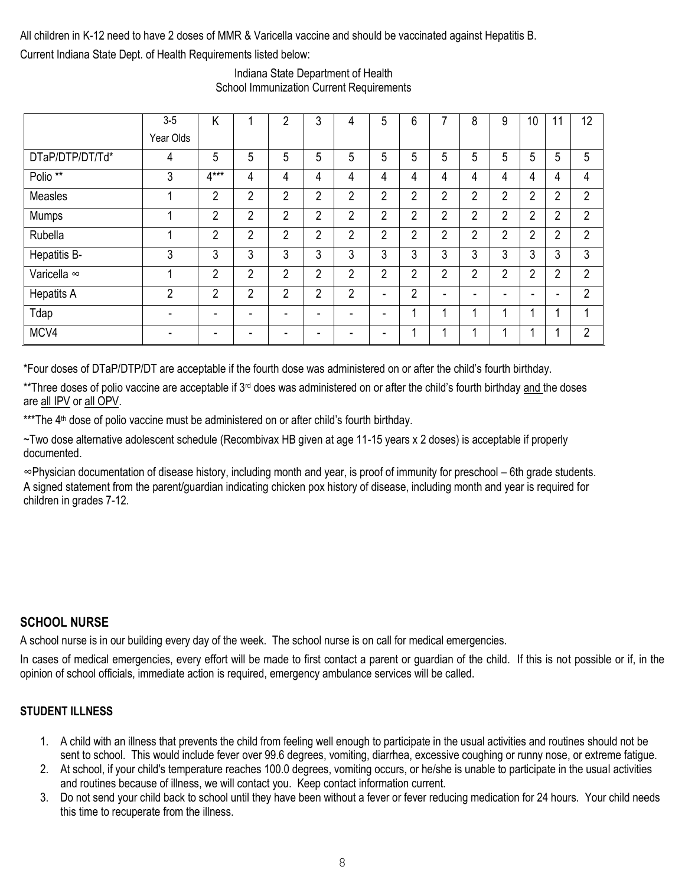All children in K-12 need to have 2 doses of MMR & Varicella vaccine and should be vaccinated against Hepatitis B. Current Indiana State Dept. of Health Requirements listed below:

|                     | $3-5$                    | K                        |                | $\overline{2}$ | 3              | 4              | 5                        | 6              | 7              | 8              | 9              | 10             | 11             | 12             |
|---------------------|--------------------------|--------------------------|----------------|----------------|----------------|----------------|--------------------------|----------------|----------------|----------------|----------------|----------------|----------------|----------------|
|                     | Year Olds                |                          |                |                |                |                |                          |                |                |                |                |                |                |                |
| DTaP/DTP/DT/Td*     | 4                        | 5                        | 5              | 5              | 5              | 5              | 5                        | 5              | 5              | 5              | 5              | 5              | 5              | 5              |
| Polio <sup>**</sup> | 3                        | $4***$                   | 4              | 4              | 4              | 4              | 4                        | 4              | 4              | 4              | 4              | 4              | 4              | 4              |
| Measles             |                          | $\overline{2}$           | $\overline{2}$ | $\overline{2}$ | $\overline{2}$ | $\overline{2}$ | $\overline{2}$           | $\overline{2}$ | $\overline{2}$ | $\overline{2}$ | $\overline{2}$ | $\overline{2}$ | $\overline{2}$ | $\overline{2}$ |
| Mumps               |                          | $\overline{2}$           | $\overline{2}$ | $\overline{2}$ | $\overline{2}$ | $\overline{2}$ | $\overline{2}$           | $\overline{2}$ | 2              | $\overline{2}$ | $\overline{2}$ | $\overline{2}$ | $\overline{2}$ | $\overline{2}$ |
| Rubella             |                          | $\overline{2}$           | $\overline{2}$ | $\overline{2}$ | $\overline{2}$ | $\overline{2}$ | $\overline{2}$           | $\overline{2}$ | $\overline{2}$ | $\overline{2}$ | $\overline{2}$ | $\overline{2}$ | $\overline{2}$ | $\overline{2}$ |
| Hepatitis B-        | 3                        | 3                        | 3              | 3              | 3              | 3              | 3                        | 3              | 3              | 3              | 3              | 3              | 3              | 3              |
| Varicella ∞         |                          | $\overline{2}$           | $\overline{2}$ | $\overline{2}$ | $\overline{2}$ | $\overline{2}$ | $\overline{2}$           | $\overline{2}$ | $\overline{2}$ | $\overline{2}$ | $\overline{2}$ | $\overline{2}$ | $\overline{2}$ | $\overline{2}$ |
| <b>Hepatits A</b>   | 2                        | 2                        | $\overline{2}$ | 2              | $\overline{2}$ | $\overline{2}$ | ۰                        | $\overline{2}$ | $\blacksquare$ | -              | -              | -              | ۰              | $\overline{2}$ |
| Tdap                | $\overline{\phantom{0}}$ | -                        | -              |                | ۰              | ۰              | $\overline{\phantom{a}}$ |                | ٠              |                |                |                |                |                |
| MCV4                |                          | $\overline{\phantom{0}}$ |                |                | -              |                | $\overline{\phantom{a}}$ | 1              | 1              |                |                |                |                | $\overline{2}$ |

Indiana State Department of Health School Immunization Current Requirements

\*Four doses of DTaP/DTP/DT are acceptable if the fourth dose was administered on or after the child's fourth birthday.

\*\*Three doses of polio vaccine are acceptable if 3<sup>rd</sup> does was administered on or after the child's fourth birthday and the doses are all IPV or all OPV.

\*\*\*The 4<sup>th</sup> dose of polio vaccine must be administered on or after child's fourth birthday.

~Two dose alternative adolescent schedule (Recombivax HB given at age 11-15 years x 2 doses) is acceptable if properly documented.

∞Physician documentation of disease history, including month and year, is proof of immunity for preschool – 6th grade students. A signed statement from the parent/guardian indicating chicken pox history of disease, including month and year is required for children in grades 7-12.

#### **SCHOOL NURSE**

A school nurse is in our building every day of the week. The school nurse is on call for medical emergencies.

In cases of medical emergencies, every effort will be made to first contact a parent or guardian of the child. If this is not possible or if, in the opinion of school officials, immediate action is required, emergency ambulance services will be called.

#### **STUDENT ILLNESS**

- 1. A child with an illness that prevents the child from feeling well enough to participate in the usual activities and routines should not be sent to school. This would include fever over 99.6 degrees, vomiting, diarrhea, excessive coughing or runny nose, or extreme fatigue.
- 2. At school, if your child's temperature reaches 100.0 degrees, vomiting occurs, or he/she is unable to participate in the usual activities and routines because of illness, we will contact you. Keep contact information current.
- 3. Do not send your child back to school until they have been without a fever or fever reducing medication for 24 hours. Your child needs this time to recuperate from the illness.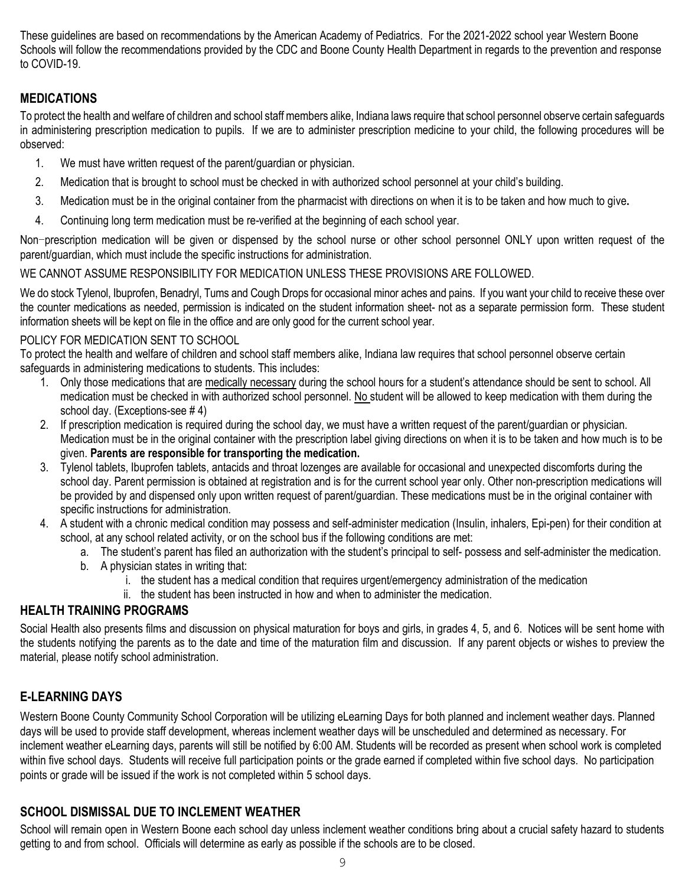These guidelines are based on recommendations by the American Academy of Pediatrics. For the 2021-2022 school year Western Boone Schools will follow the recommendations provided by the CDC and Boone County Health Department in regards to the prevention and response to COVID-19.

## **MEDICATIONS**

To protect the health and welfare of children and school staff members alike, Indiana laws require that school personnel observe certain safeguards in administering prescription medication to pupils. If we are to administer prescription medicine to your child, the following procedures will be observed:

- 1. We must have written request of the parent/guardian or physician.
- 2. Medication that is brought to school must be checked in with authorized school personnel at your child's building.
- 3. Medication must be in the original container from the pharmacist with directions on when it is to be taken and how much to give**.**
- 4. Continuing long term medication must be re-verified at the beginning of each school year.

Non-prescription medication will be given or dispensed by the school nurse or other school personnel ONLY upon written request of the parent/guardian, which must include the specific instructions for administration.

#### WE CANNOT ASSUME RESPONSIBILITY FOR MEDICATION UNLESS THESE PROVISIONS ARE FOLLOWED.

We do stock Tylenol, Ibuprofen, Benadryl, Tums and Cough Drops for occasional minor aches and pains. If you want your child to receive these over the counter medications as needed, permission is indicated on the student information sheet- not as a separate permission form. These student information sheets will be kept on file in the office and are only good for the current school year.

#### POLICY FOR MEDICATION SENT TO SCHOOL

To protect the health and welfare of children and school staff members alike, Indiana law requires that school personnel observe certain safeguards in administering medications to students. This includes:

- 1. Only those medications that are medically necessary during the school hours for a student's attendance should be sent to school. All medication must be checked in with authorized school personnel. No student will be allowed to keep medication with them during the school day. (Exceptions-see # 4)
- 2. If prescription medication is required during the school day, we must have a written request of the parent/guardian or physician. Medication must be in the original container with the prescription label giving directions on when it is to be taken and how much is to be given. **Parents are responsible for transporting the medication.**
- 3. Tylenol tablets, Ibuprofen tablets, antacids and throat lozenges are available for occasional and unexpected discomforts during the school day. Parent permission is obtained at registration and is for the current school year only. Other non-prescription medications will be provided by and dispensed only upon written request of parent/guardian. These medications must be in the original container with specific instructions for administration.
- 4. A student with a chronic medical condition may possess and self-administer medication (Insulin, inhalers, Epi-pen) for their condition at school, at any school related activity, or on the school bus if the following conditions are met:
	- a. The student's parent has filed an authorization with the student's principal to self- possess and self-administer the medication.
	- b. A physician states in writing that:
		- i. the student has a medical condition that requires urgent/emergency administration of the medication
		- ii. the student has been instructed in how and when to administer the medication.

## **HEALTH TRAINING PROGRAMS**

Social Health also presents films and discussion on physical maturation for boys and girls, in grades 4, 5, and 6. Notices will be sent home with the students notifying the parents as to the date and time of the maturation film and discussion. If any parent objects or wishes to preview the material, please notify school administration.

## **E-LEARNING DAYS**

Western Boone County Community School Corporation will be utilizing eLearning Days for both planned and inclement weather days. Planned days will be used to provide staff development, whereas inclement weather days will be unscheduled and determined as necessary. For inclement weather eLearning days, parents will still be notified by 6:00 AM. Students will be recorded as present when school work is completed within five school days. Students will receive full participation points or the grade earned if completed within five school days. No participation points or grade will be issued if the work is not completed within 5 school days.

## **SCHOOL DISMISSAL DUE TO INCLEMENT WEATHER**

School will remain open in Western Boone each school day unless inclement weather conditions bring about a crucial safety hazard to students getting to and from school. Officials will determine as early as possible if the schools are to be closed.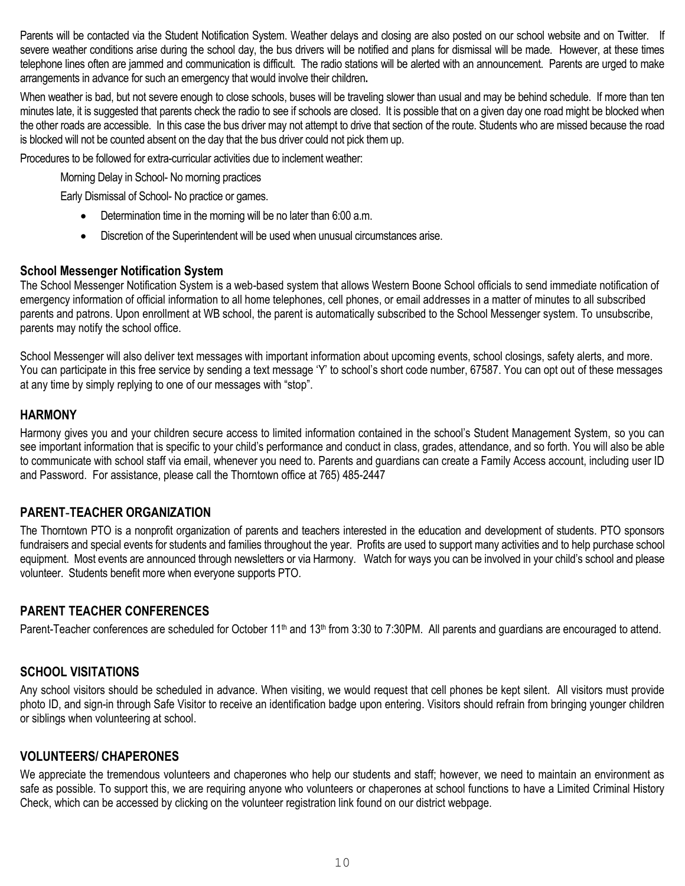Parents will be contacted via the Student Notification System. Weather delays and closing are also posted on our school website and on Twitter. If severe weather conditions arise during the school day, the bus drivers will be notified and plans for dismissal will be made. However, at these times telephone lines often are jammed and communication is difficult. The radio stations will be alerted with an announcement. Parents are urged to make arrangements in advance for such an emergency that would involve their children**.** 

When weather is bad, but not severe enough to close schools, buses will be traveling slower than usual and may be behind schedule. If more than ten minutes late, it is suggested that parents check the radio to see if schools are closed. It is possible that on a given day one road might be blocked when the other roads are accessible. In this case the bus driver may not attempt to drive that section of the route. Students who are missed because the road is blocked will not be counted absent on the day that the bus driver could not pick them up.

Procedures to be followed for extra-curricular activities due to inclement weather:

Morning Delay in School- No morning practices

Early Dismissal of School- No practice or games.

- Determination time in the morning will be no later than 6:00 a.m.
- Discretion of the Superintendent will be used when unusual circumstances arise.

#### **School Messenger Notification System**

The School Messenger Notification System is a web-based system that allows Western Boone School officials to send immediate notification of emergency information of official information to all home telephones, cell phones, or email addresses in a matter of minutes to all subscribed parents and patrons. Upon enrollment at WB school, the parent is automatically subscribed to the School Messenger system. To unsubscribe, parents may notify the school office.

School Messenger will also deliver text messages with important information about upcoming events, school closings, safety alerts, and more. You can participate in this free service by sending a text message 'Y' to school's short code number, 67587. You can opt out of these messages at any time by simply replying to one of our messages with "stop".

#### **HARMONY**

Harmony gives you and your children secure access to limited information contained in the school's Student Management System, so you can see important information that is specific to your child's performance and conduct in class, grades, attendance, and so forth. You will also be able to communicate with school staff via email, whenever you need to. Parents and guardians can create a Family Access account, including user ID and Password. For assistance, please call the Thorntown office at 765) 485-2447

#### **PARENT-TEACHER ORGANIZATION**

The Thorntown PTO is a nonprofit organization of parents and teachers interested in the education and development of students. PTO sponsors fundraisers and special events for students and families throughout the year. Profits are used to support many activities and to help purchase school equipment. Most events are announced through newsletters or via Harmony. Watch for ways you can be involved in your child's school and please volunteer. Students benefit more when everyone supports PTO.

#### **PARENT TEACHER CONFERENCES**

Parent-Teacher conferences are scheduled for October 11<sup>th</sup> and 13<sup>th</sup> from 3:30 to 7:30PM. All parents and quardians are encouraged to attend.

#### **SCHOOL VISITATIONS**

Any school visitors should be scheduled in advance. When visiting, we would request that cell phones be kept silent. All visitors must provide photo ID, and sign-in through Safe Visitor to receive an identification badge upon entering. Visitors should refrain from bringing younger children or siblings when volunteering at school.

#### **VOLUNTEERS/ CHAPERONES**

We appreciate the tremendous volunteers and chaperones who help our students and staff; however, we need to maintain an environment as safe as possible. To support this, we are requiring anyone who volunteers or chaperones at school functions to have a Limited Criminal History Check, which can be accessed by clicking on the volunteer registration link found on our district webpage.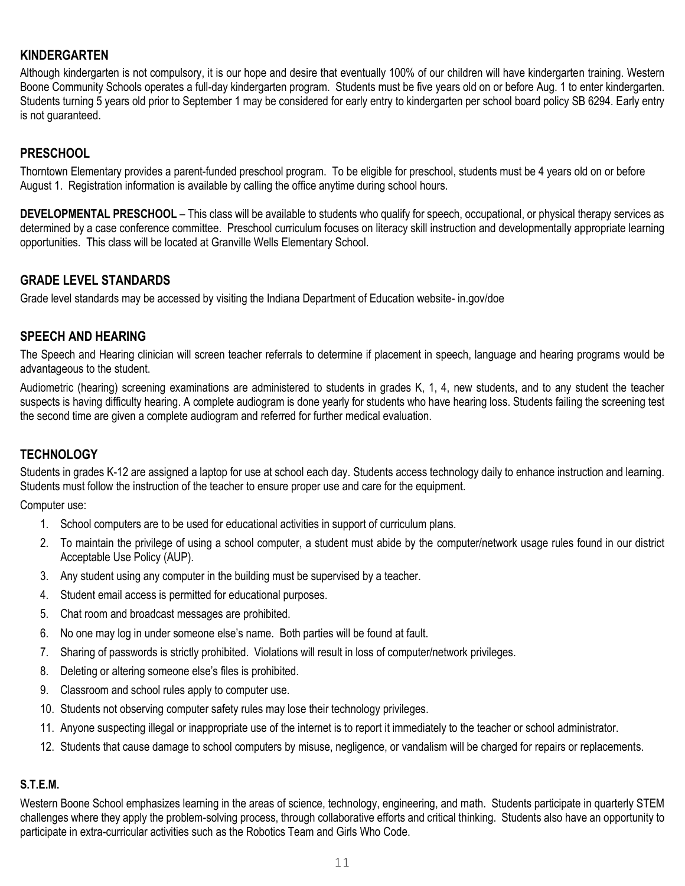## **KINDERGARTEN**

Although kindergarten is not compulsory, it is our hope and desire that eventually 100% of our children will have kindergarten training. Western Boone Community Schools operates a full-day kindergarten program. Students must be five years old on or before Aug. 1 to enter kindergarten. Students turning 5 years old prior to September 1 may be considered for early entry to kindergarten per school board policy SB 6294. Early entry is not guaranteed.

## **PRESCHOOL**

Thorntown Elementary provides a parent-funded preschool program. To be eligible for preschool, students must be 4 years old on or before August 1. Registration information is available by calling the office anytime during school hours.

**DEVELOPMENTAL PRESCHOOL** – This class will be available to students who qualify for speech, occupational, or physical therapy services as determined by a case conference committee. Preschool curriculum focuses on literacy skill instruction and developmentally appropriate learning opportunities. This class will be located at Granville Wells Elementary School.

#### **GRADE LEVEL STANDARDS**

Grade level standards may be accessed by visiting the Indiana Department of Education website- in.gov/doe

#### **SPEECH AND HEARING**

The Speech and Hearing clinician will screen teacher referrals to determine if placement in speech, language and hearing programs would be advantageous to the student.

Audiometric (hearing) screening examinations are administered to students in grades K, 1, 4, new students, and to any student the teacher suspects is having difficulty hearing. A complete audiogram is done yearly for students who have hearing loss. Students failing the screening test the second time are given a complete audiogram and referred for further medical evaluation.

#### **TECHNOLOGY**

Students in grades K-12 are assigned a laptop for use at school each day. Students access technology daily to enhance instruction and learning. Students must follow the instruction of the teacher to ensure proper use and care for the equipment.

Computer use:

- 1. School computers are to be used for educational activities in support of curriculum plans.
- 2. To maintain the privilege of using a school computer, a student must abide by the computer/network usage rules found in our district Acceptable Use Policy (AUP).
- 3. Any student using any computer in the building must be supervised by a teacher.
- 4. Student email access is permitted for educational purposes.
- 5. Chat room and broadcast messages are prohibited.
- 6. No one may log in under someone else's name. Both parties will be found at fault.
- 7. Sharing of passwords is strictly prohibited. Violations will result in loss of computer/network privileges.
- 8. Deleting or altering someone else's files is prohibited.
- 9. Classroom and school rules apply to computer use.
- 10. Students not observing computer safety rules may lose their technology privileges.
- 11. Anyone suspecting illegal or inappropriate use of the internet is to report it immediately to the teacher or school administrator.
- 12. Students that cause damage to school computers by misuse, negligence, or vandalism will be charged for repairs or replacements.

#### **S.T.E.M.**

Western Boone School emphasizes learning in the areas of science, technology, engineering, and math. Students participate in quarterly STEM challenges where they apply the problem-solving process, through collaborative efforts and critical thinking. Students also have an opportunity to participate in extra-curricular activities such as the Robotics Team and Girls Who Code.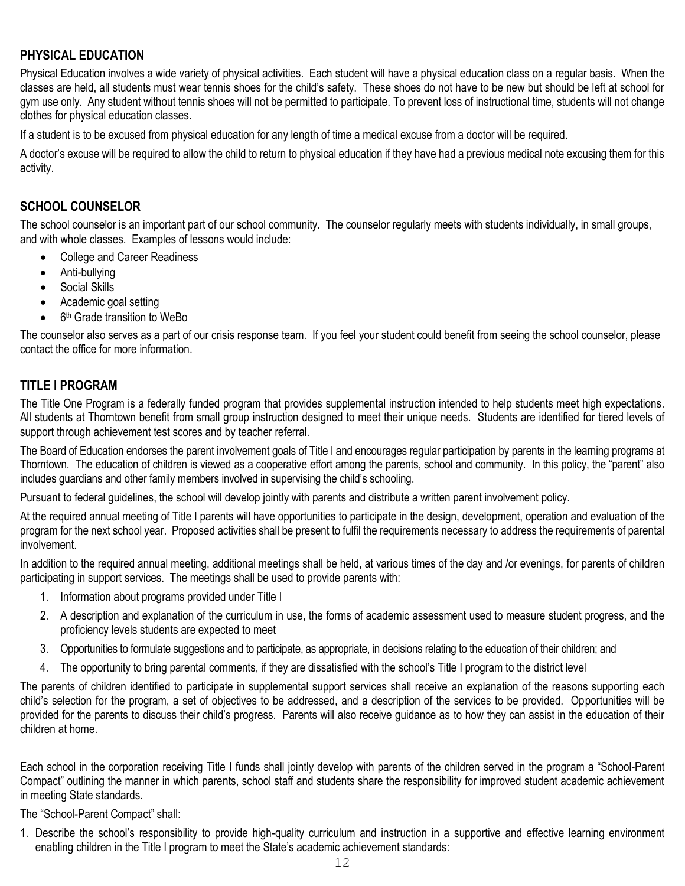## **PHYSICAL EDUCATION**

Physical Education involves a wide variety of physical activities. Each student will have a physical education class on a regular basis. When the classes are held, all students must wear tennis shoes for the child's safety. These shoes do not have to be new but should be left at school for gym use only. Any student without tennis shoes will not be permitted to participate. To prevent loss of instructional time, students will not change clothes for physical education classes.

If a student is to be excused from physical education for any length of time a medical excuse from a doctor will be required.

A doctor's excuse will be required to allow the child to return to physical education if they have had a previous medical note excusing them for this activity.

#### **SCHOOL COUNSELOR**

The school counselor is an important part of our school community. The counselor regularly meets with students individually, in small groups, and with whole classes. Examples of lessons would include:

- College and Career Readiness
- Anti-bullying
- Social Skills
- Academic goal setting
- 6<sup>th</sup> Grade transition to WeBo

The counselor also serves as a part of our crisis response team. If you feel your student could benefit from seeing the school counselor, please contact the office for more information.

#### **TITLE I PROGRAM**

The Title One Program is a federally funded program that provides supplemental instruction intended to help students meet high expectations. All students at Thorntown benefit from small group instruction designed to meet their unique needs. Students are identified for tiered levels of support through achievement test scores and by teacher referral.

The Board of Education endorses the parent involvement goals of Title I and encourages regular participation by parents in the learning programs at Thorntown. The education of children is viewed as a cooperative effort among the parents, school and community. In this policy, the "parent" also includes guardians and other family members involved in supervising the child's schooling.

Pursuant to federal guidelines, the school will develop jointly with parents and distribute a written parent involvement policy.

At the required annual meeting of Title I parents will have opportunities to participate in the design, development, operation and evaluation of the program for the next school year. Proposed activities shall be present to fulfil the requirements necessary to address the requirements of parental involvement.

In addition to the required annual meeting, additional meetings shall be held, at various times of the day and /or evenings, for parents of children participating in support services. The meetings shall be used to provide parents with:

- 1. Information about programs provided under Title I
- 2. A description and explanation of the curriculum in use, the forms of academic assessment used to measure student progress, and the proficiency levels students are expected to meet
- 3. Opportunities to formulate suggestions and to participate, as appropriate, in decisions relating to the education of their children; and
- 4. The opportunity to bring parental comments, if they are dissatisfied with the school's Title I program to the district level

The parents of children identified to participate in supplemental support services shall receive an explanation of the reasons supporting each child's selection for the program, a set of objectives to be addressed, and a description of the services to be provided. Opportunities will be provided for the parents to discuss their child's progress. Parents will also receive guidance as to how they can assist in the education of their children at home.

Each school in the corporation receiving Title I funds shall jointly develop with parents of the children served in the program a "School-Parent Compact" outlining the manner in which parents, school staff and students share the responsibility for improved student academic achievement in meeting State standards.

The "School-Parent Compact" shall:

1. Describe the school's responsibility to provide high-quality curriculum and instruction in a supportive and effective learning environment enabling children in the Title I program to meet the State's academic achievement standards: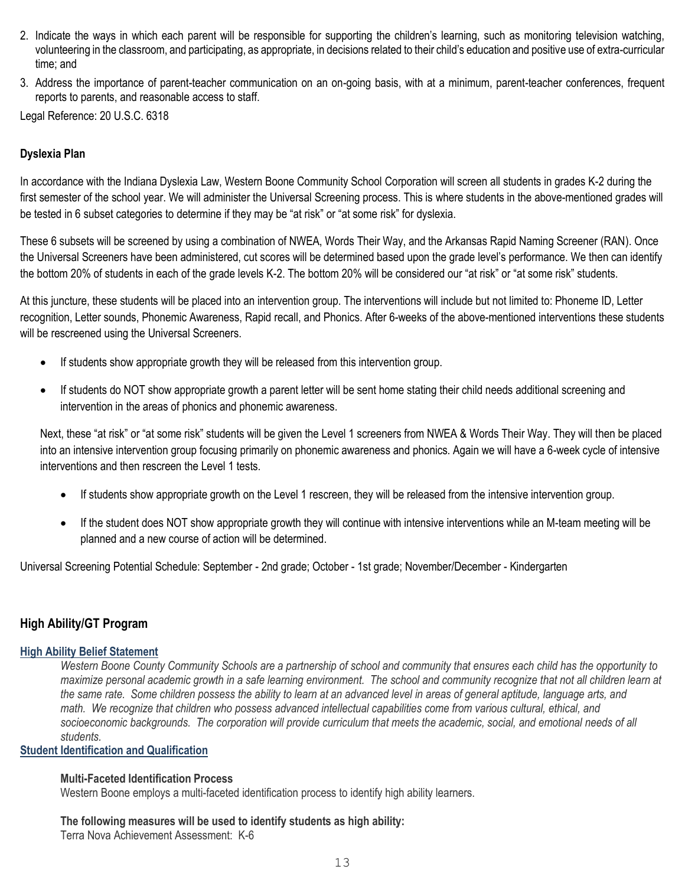- 2. Indicate the ways in which each parent will be responsible for supporting the children's learning, such as monitoring television watching, volunteering in the classroom, and participating, as appropriate, in decisions related to their child's education and positive use of extra-curricular time; and
- 3. Address the importance of parent-teacher communication on an on-going basis, with at a minimum, parent-teacher conferences, frequent reports to parents, and reasonable access to staff.

Legal Reference: 20 U.S.C. 6318

#### **Dyslexia Plan**

In accordance with the Indiana Dyslexia Law, Western Boone Community School Corporation will screen all students in grades K-2 during the first semester of the school year. We will administer the Universal Screening process. This is where students in the above-mentioned grades will be tested in 6 subset categories to determine if they may be "at risk" or "at some risk" for dyslexia.

These 6 subsets will be screened by using a combination of NWEA, Words Their Way, and the Arkansas Rapid Naming Screener (RAN). Once the Universal Screeners have been administered, cut scores will be determined based upon the grade level's performance. We then can identify the bottom 20% of students in each of the grade levels K-2. The bottom 20% will be considered our "at risk" or "at some risk" students.

At this juncture, these students will be placed into an intervention group. The interventions will include but not limited to: Phoneme ID, Letter recognition, Letter sounds, Phonemic Awareness, Rapid recall, and Phonics. After 6-weeks of the above-mentioned interventions these students will be rescreened using the Universal Screeners.

- If students show appropriate growth they will be released from this intervention group.
- If students do NOT show appropriate growth a parent letter will be sent home stating their child needs additional screening and intervention in the areas of phonics and phonemic awareness.

Next, these "at risk" or "at some risk" students will be given the Level 1 screeners from NWEA & Words Their Way. They will then be placed into an intensive intervention group focusing primarily on phonemic awareness and phonics. Again we will have a 6-week cycle of intensive interventions and then rescreen the Level 1 tests.

- If students show appropriate growth on the Level 1 rescreen, they will be released from the intensive intervention group.
- If the student does NOT show appropriate growth they will continue with intensive interventions while an M-team meeting will be planned and a new course of action will be determined.

Universal Screening Potential Schedule: September - 2nd grade; October - 1st grade; November/December - Kindergarten

#### **High Ability/GT Program**

#### **High Ability Belief Statement**

Western Boone County Community Schools are a partnership of school and community that ensures each child has the opportunity to maximize personal academic growth in a safe learning environment. The school and community recognize that not all children learn at the same rate. Some children possess the ability to learn at an advanced level in areas of general aptitude, language arts, and math. We recognize that children who possess advanced intellectual capabilities come from various cultural, ethical, and socioeconomic backgrounds. The corporation will provide curriculum that meets the academic, social, and emotional needs of all *students.*

#### **Student Identification and Qualification**

#### **Multi-Faceted Identification Process**

Western Boone employs a multi-faceted identification process to identify high ability learners.

#### **The following measures will be used to identify students as high ability:**

Terra Nova Achievement Assessment: K-6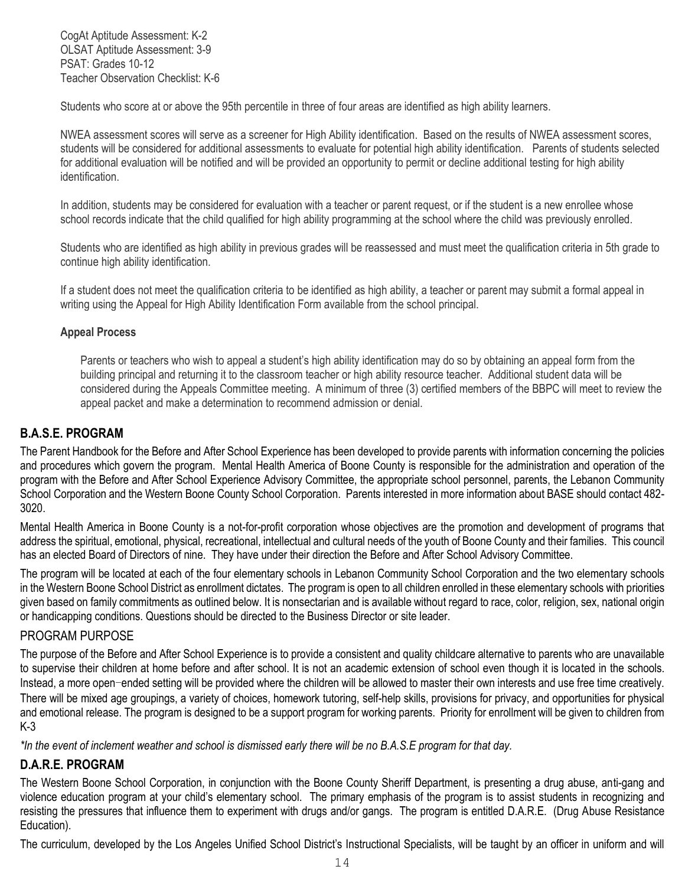CogAt Aptitude Assessment: K-2 OLSAT Aptitude Assessment: 3-9 PSAT: Grades 10-12 Teacher Observation Checklist: K-6

Students who score at or above the 95th percentile in three of four areas are identified as high ability learners.

NWEA assessment scores will serve as a screener for High Ability identification. Based on the results of NWEA assessment scores, students will be considered for additional assessments to evaluate for potential high ability identification. Parents of students selected for additional evaluation will be notified and will be provided an opportunity to permit or decline additional testing for high ability identification.

In addition, students may be considered for evaluation with a teacher or parent request, or if the student is a new enrollee whose school records indicate that the child qualified for high ability programming at the school where the child was previously enrolled.

Students who are identified as high ability in previous grades will be reassessed and must meet the qualification criteria in 5th grade to continue high ability identification.

If a student does not meet the qualification criteria to be identified as high ability, a teacher or parent may submit a formal appeal in writing using the Appeal for High Ability Identification Form available from the school principal.

#### **Appeal Process**

Parents or teachers who wish to appeal a student's high ability identification may do so by obtaining an appeal form from the building principal and returning it to the classroom teacher or high ability resource teacher. Additional student data will be considered during the Appeals Committee meeting. A minimum of three (3) certified members of the BBPC will meet to review the appeal packet and make a determination to recommend admission or denial.

#### **B.A.S.E. PROGRAM**

The Parent Handbook for the Before and After School Experience has been developed to provide parents with information concerning the policies and procedures which govern the program. Mental Health America of Boone County is responsible for the administration and operation of the program with the Before and After School Experience Advisory Committee, the appropriate school personnel, parents, the Lebanon Community School Corporation and the Western Boone County School Corporation. Parents interested in more information about BASE should contact 482- 3020.

Mental Health America in Boone County is a not-for-profit corporation whose objectives are the promotion and development of programs that address the spiritual, emotional, physical, recreational, intellectual and cultural needs of the youth of Boone County and their families. This council has an elected Board of Directors of nine. They have under their direction the Before and After School Advisory Committee.

The program will be located at each of the four elementary schools in Lebanon Community School Corporation and the two elementary schools in the Western Boone School District as enrollment dictates. The program is open to all children enrolled in these elementary schools with priorities given based on family commitments as outlined below. It is nonsectarian and is available without regard to race, color, religion, sex, national origin or handicapping conditions. Questions should be directed to the Business Director or site leader.

#### PROGRAM PURPOSE

The purpose of the Before and After School Experience is to provide a consistent and quality childcare alternative to parents who are unavailable to supervise their children at home before and after school. It is not an academic extension of school even though it is located in the schools. Instead, a more open-ended setting will be provided where the children will be allowed to master their own interests and use free time creatively. There will be mixed age groupings, a variety of choices, homework tutoring, self-help skills, provisions for privacy, and opportunities for physical and emotional release. The program is designed to be a support program for working parents. Priority for enrollment will be given to children from K-3

*\*In the event of inclement weather and school is dismissed early there will be no B.A.S.E program for that day.*

#### **D.A.R.E. PROGRAM**

The Western Boone School Corporation, in conjunction with the Boone County Sheriff Department, is presenting a drug abuse, anti-gang and violence education program at your child's elementary school. The primary emphasis of the program is to assist students in recognizing and resisting the pressures that influence them to experiment with drugs and/or gangs. The program is entitled D.A.R.E. (Drug Abuse Resistance Education).

The curriculum, developed by the Los Angeles Unified School District's Instructional Specialists, will be taught by an officer in uniform and will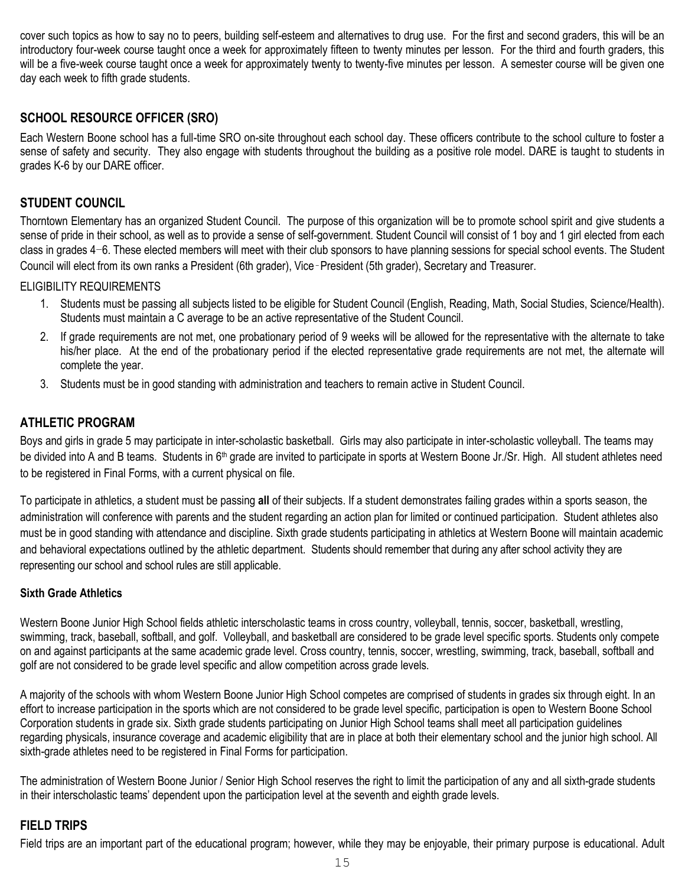cover such topics as how to say no to peers, building self-esteem and alternatives to drug use. For the first and second graders, this will be an introductory four-week course taught once a week for approximately fifteen to twenty minutes per lesson. For the third and fourth graders, this will be a five-week course taught once a week for approximately twenty to twenty-five minutes per lesson. A semester course will be given one day each week to fifth grade students.

## **SCHOOL RESOURCE OFFICER (SRO)**

Each Western Boone school has a full-time SRO on-site throughout each school day. These officers contribute to the school culture to foster a sense of safety and security. They also engage with students throughout the building as a positive role model. DARE is taught to students in grades K-6 by our DARE officer.

### **STUDENT COUNCIL**

Thorntown Elementary has an organized Student Council. The purpose of this organization will be to promote school spirit and give students a sense of pride in their school, as well as to provide a sense of self-government. Student Council will consist of 1 boy and 1 girl elected from each class in grades 4-6. These elected members will meet with their club sponsors to have planning sessions for special school events. The Student Council will elect from its own ranks a President (6th grader), Vice‑President (5th grader), Secretary and Treasurer.

ELIGIBILITY REQUIREMENTS

- 1. Students must be passing all subjects listed to be eligible for Student Council (English, Reading, Math, Social Studies, Science/Health). Students must maintain a C average to be an active representative of the Student Council.
- 2. If grade requirements are not met, one probationary period of 9 weeks will be allowed for the representative with the alternate to take his/her place. At the end of the probationary period if the elected representative grade requirements are not met, the alternate will complete the year.
- 3. Students must be in good standing with administration and teachers to remain active in Student Council.

#### **ATHLETIC PROGRAM**

Boys and girls in grade 5 may participate in inter-scholastic basketball. Girls may also participate in inter-scholastic volleyball. The teams may be divided into A and B teams. Students in 6<sup>th</sup> grade are invited to participate in sports at Western Boone Jr./Sr. High. All student athletes need to be registered in Final Forms, with a current physical on file.

To participate in athletics, a student must be passing **all** of their subjects. If a student demonstrates failing grades within a sports season, the administration will conference with parents and the student regarding an action plan for limited or continued participation. Student athletes also must be in good standing with attendance and discipline. Sixth grade students participating in athletics at Western Boone will maintain academic and behavioral expectations outlined by the athletic department. Students should remember that during any after school activity they are representing our school and school rules are still applicable.

#### **Sixth Grade Athletics**

Western Boone Junior High School fields athletic interscholastic teams in cross country, volleyball, tennis, soccer, basketball, wrestling, swimming, track, baseball, softball, and golf. Volleyball, and basketball are considered to be grade level specific sports. Students only compete on and against participants at the same academic grade level. Cross country, tennis, soccer, wrestling, swimming, track, baseball, softball and golf are not considered to be grade level specific and allow competition across grade levels.

A majority of the schools with whom Western Boone Junior High School competes are comprised of students in grades six through eight. In an effort to increase participation in the sports which are not considered to be grade level specific, participation is open to Western Boone School Corporation students in grade six. Sixth grade students participating on Junior High School teams shall meet all participation guidelines regarding physicals, insurance coverage and academic eligibility that are in place at both their elementary school and the junior high school. All sixth-grade athletes need to be registered in Final Forms for participation.

The administration of Western Boone Junior / Senior High School reserves the right to limit the participation of any and all sixth-grade students in their interscholastic teams' dependent upon the participation level at the seventh and eighth grade levels.

#### **FIELD TRIPS**

Field trips are an important part of the educational program; however, while they may be enjoyable, their primary purpose is educational. Adult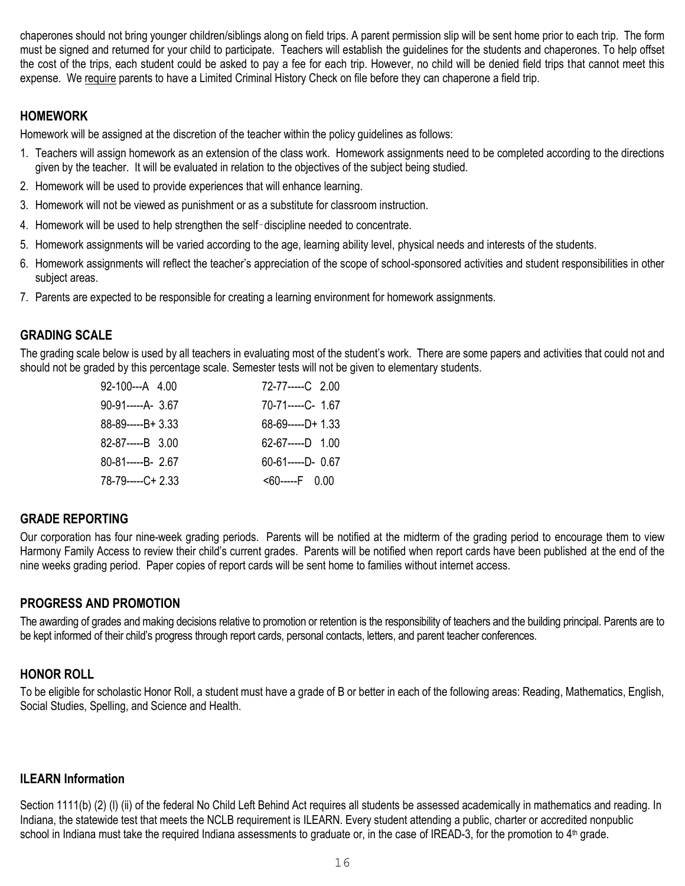chaperones should not bring younger children/siblings along on field trips. A parent permission slip will be sent home prior to each trip. The form must be signed and returned for your child to participate. Teachers will establish the guidelines for the students and chaperones. To help offset the cost of the trips, each student could be asked to pay a fee for each trip. However, no child will be denied field trips that cannot meet this expense. We require parents to have a Limited Criminal History Check on file before they can chaperone a field trip.

#### **HOMEWORK**

Homework will be assigned at the discretion of the teacher within the policy guidelines as follows:

- 1. Teachers will assign homework as an extension of the class work. Homework assignments need to be completed according to the directions given by the teacher. It will be evaluated in relation to the objectives of the subject being studied.
- 2. Homework will be used to provide experiences that will enhance learning.
- 3. Homework will not be viewed as punishment or as a substitute for classroom instruction.
- 4. Homework will be used to help strengthen the self‑discipline needed to concentrate.
- 5. Homework assignments will be varied according to the age, learning ability level, physical needs and interests of the students.
- 6. Homework assignments will reflect the teacher's appreciation of the scope of school-sponsored activities and student responsibilities in other subject areas.
- 7. Parents are expected to be responsible for creating a learning environment for homework assignments.

#### **GRADING SCALE**

The grading scale below is used by all teachers in evaluating most of the student's work. There are some papers and activities that could not and should not be graded by this percentage scale. Semester tests will not be given to elementary students.

| 92-100---A 4.00          | 72-77-----C 2.00       |
|--------------------------|------------------------|
|                          | 70-71-----C- 1.67      |
| $88-89$ ------B+ 3.33    | $68 - 69 - (-1)$       |
| $82 - 87 - - - - B$ 3.00 | 62-67-----D 1.00       |
| 80-81-----B- 2.67        | $60 - 61$ -----D- 0.67 |
| 78-79-----C+2.33         | $< 60$ -----F 0.00     |

#### **GRADE REPORTING**

Our corporation has four nine-week grading periods. Parents will be notified at the midterm of the grading period to encourage them to view Harmony Family Access to review their child's current grades. Parents will be notified when report cards have been published at the end of the nine weeks grading period. Paper copies of report cards will be sent home to families without internet access.

#### **PROGRESS AND PROMOTION**

The awarding of grades and making decisions relative to promotion or retention is the responsibility of teachers and the building principal. Parents are to be kept informed of their child's progress through report cards, personal contacts, letters, and parent teacher conferences.

#### **HONOR ROLL**

To be eligible for scholastic Honor Roll, a student must have a grade of B or better in each of the following areas: Reading, Mathematics, English, Social Studies, Spelling, and Science and Health.

#### **ILEARN Information**

Section 1111(b) (2) (I) (ii) of the federal No Child Left Behind Act requires all students be assessed academically in mathematics and reading. In Indiana, the statewide test that meets the NCLB requirement is ILEARN. Every student attending a public, charter or accredited nonpublic school in Indiana must take the required Indiana assessments to graduate or, in the case of IREAD-3, for the promotion to  $4<sup>th</sup>$  grade.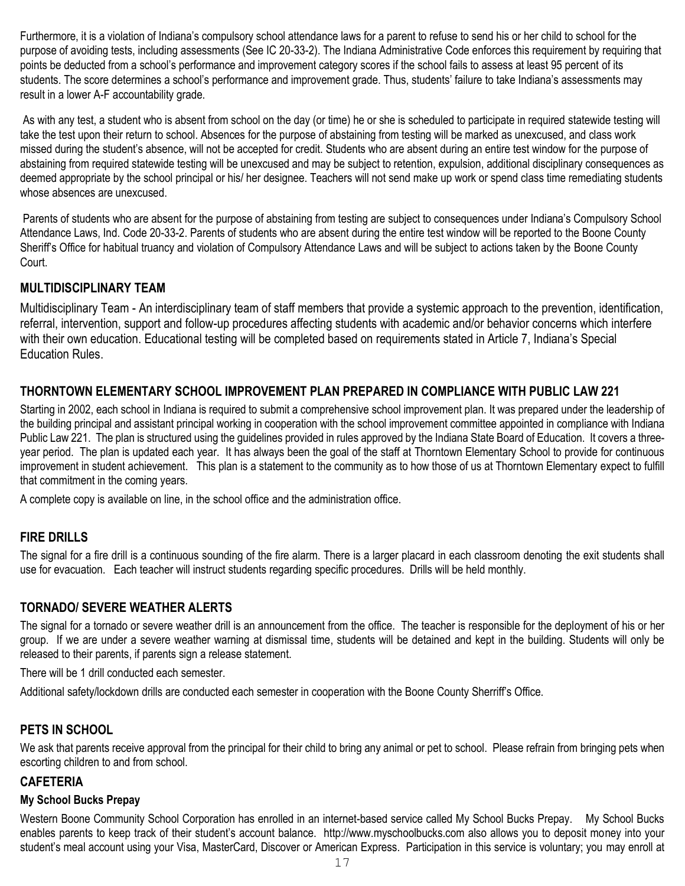Furthermore, it is a violation of Indiana's compulsory school attendance laws for a parent to refuse to send his or her child to school for the purpose of avoiding tests, including assessments (See IC 20-33-2). The Indiana Administrative Code enforces this requirement by requiring that points be deducted from a school's performance and improvement category scores if the school fails to assess at least 95 percent of its students. The score determines a school's performance and improvement grade. Thus, students' failure to take Indiana's assessments may result in a lower A-F accountability grade.

As with any test, a student who is absent from school on the day (or time) he or she is scheduled to participate in required statewide testing will take the test upon their return to school. Absences for the purpose of abstaining from testing will be marked as unexcused, and class work missed during the student's absence, will not be accepted for credit. Students who are absent during an entire test window for the purpose of abstaining from required statewide testing will be unexcused and may be subject to retention, expulsion, additional disciplinary consequences as deemed appropriate by the school principal or his/ her designee. Teachers will not send make up work or spend class time remediating students whose absences are unexcused.

Parents of students who are absent for the purpose of abstaining from testing are subject to consequences under Indiana's Compulsory School Attendance Laws, Ind. Code 20-33-2. Parents of students who are absent during the entire test window will be reported to the Boone County Sheriff's Office for habitual truancy and violation of Compulsory Attendance Laws and will be subject to actions taken by the Boone County Court.

## **MULTIDISCIPLINARY TEAM**

Multidisciplinary Team - An interdisciplinary team of staff members that provide a systemic approach to the prevention, identification, referral, intervention, support and follow-up procedures affecting students with academic and/or behavior concerns which interfere with their own education. Educational testing will be completed based on requirements stated in Article 7, Indiana's Special Education Rules.

## **THORNTOWN ELEMENTARY SCHOOL IMPROVEMENT PLAN PREPARED IN COMPLIANCE WITH PUBLIC LAW 221**

Starting in 2002, each school in Indiana is required to submit a comprehensive school improvement plan. It was prepared under the leadership of the building principal and assistant principal working in cooperation with the school improvement committee appointed in compliance with Indiana Public Law 221. The plan is structured using the guidelines provided in rules approved by the Indiana State Board of Education. It covers a threeyear period. The plan is updated each year. It has always been the goal of the staff at Thorntown Elementary School to provide for continuous improvement in student achievement. This plan is a statement to the community as to how those of us at Thorntown Elementary expect to fulfill that commitment in the coming years.

A complete copy is available on line, in the school office and the administration office.

## **FIRE DRILLS**

The signal for a fire drill is a continuous sounding of the fire alarm. There is a larger placard in each classroom denoting the exit students shall use for evacuation. Each teacher will instruct students regarding specific procedures. Drills will be held monthly.

## **TORNADO/ SEVERE WEATHER ALERTS**

The signal for a tornado or severe weather drill is an announcement from the office. The teacher is responsible for the deployment of his or her group. If we are under a severe weather warning at dismissal time, students will be detained and kept in the building. Students will only be released to their parents, if parents sign a release statement.

There will be 1 drill conducted each semester.

Additional safety/lockdown drills are conducted each semester in cooperation with the Boone County Sherriff's Office.

## **PETS IN SCHOOL**

We ask that parents receive approval from the principal for their child to bring any animal or pet to school. Please refrain from bringing pets when escorting children to and from school.

#### **CAFETERIA**

#### **My School Bucks Prepay**

Western Boone Community School Corporation has enrolled in an internet-based service called My School Bucks Prepay. My School Bucks enables parents to keep track of their student's account balance. http://www.myschoolbucks.com also allows you to deposit money into your student's meal account using your Visa, MasterCard, Discover or American Express. Participation in this service is voluntary; you may enroll at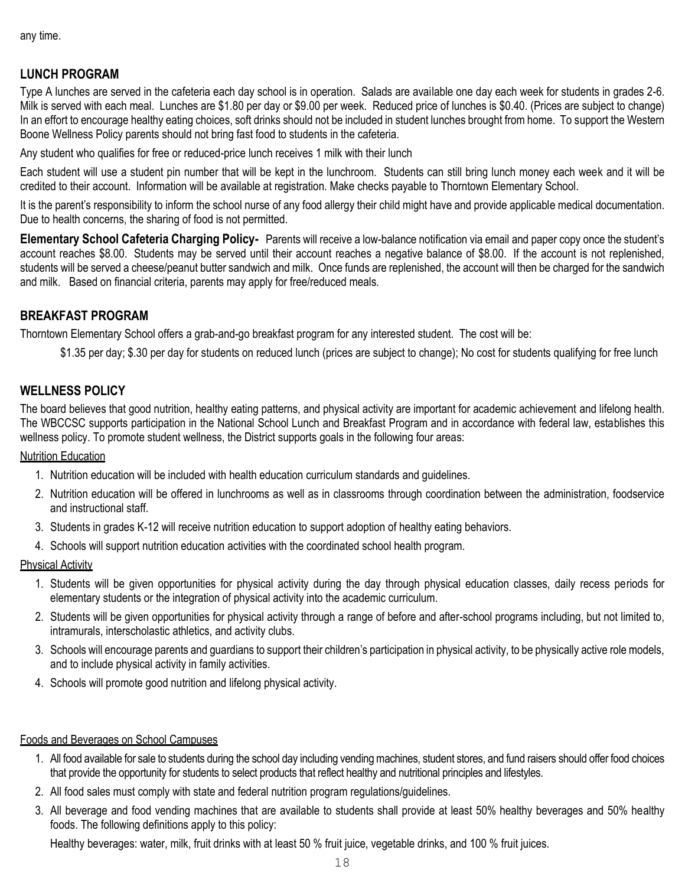any time.

## **LUNCH PROGRAM**

Type A lunches are served in the cafeteria each day school is in operation. Salads are available one day each week for students in grades 2-6. Milk is served with each meal. Lunches are \$1.80 per day or \$9.00 per week. Reduced price of lunches is \$0.40. (Prices are subject to change) In an effort to encourage healthy eating choices, soft drinks should not be included in student lunches brought from home. To support the Western Boone Wellness Policy parents should not bring fast food to students in the cafeteria.

Any student who qualifies for free or reduced-price lunch receives 1 milk with their lunch

Each student will use a student pin number that will be kept in the lunchroom. Students can still bring lunch money each week and it will be credited to their account. Information will be available at registration. Make checks payable to Thorntown Elementary School.

It is the parent's responsibility to inform the school nurse of any food allergy their child might have and provide applicable medical documentation. Due to health concerns, the sharing of food is not permitted.

**Elementary School Cafeteria Charging Policy-** Parents will receive a low-balance notification via email and paper copy once the student's account reaches \$8.00. Students may be served until their account reaches a negative balance of \$8.00. If the account is not replenished, students will be served a cheese/peanut butter sandwich and milk. Once funds are replenished, the account will then be charged for the sandwich and milk. Based on financial criteria, parents may apply for free/reduced meals.

## **BREAKFAST PROGRAM**

Thorntown Elementary School offers a grab-and-go breakfast program for any interested student. The cost will be:

\$1.35 per day; \$.30 per day for students on reduced lunch (prices are subject to change); No cost for students qualifying for free lunch

#### **WELLNESS POLICY**

The board believes that good nutrition, healthy eating patterns, and physical activity are important for academic achievement and lifelong health. The WBCCSC supports participation in the National School Lunch and Breakfast Program and in accordance with federal law, establishes this wellness policy. To promote student wellness, the District supports goals in the following four areas:

#### Nutrition Education

- 1. Nutrition education will be included with health education curriculum standards and guidelines.
- 2. Nutrition education will be offered in lunchrooms as well as in classrooms through coordination between the administration, foodservice and instructional staff.
- 3. Students in grades K-12 will receive nutrition education to support adoption of healthy eating behaviors.
- 4. Schools will support nutrition education activities with the coordinated school health program.

#### Physical Activity

- 1. Students will be given opportunities for physical activity during the day through physical education classes, daily recess periods for elementary students or the integration of physical activity into the academic curriculum.
- 2. Students will be given opportunities for physical activity through a range of before and after-school programs including, but not limited to, intramurals, interscholastic athletics, and activity clubs.
- 3. Schools will encourage parents and guardians to support their children's participation in physical activity, to be physically active role models, and to include physical activity in family activities.
- 4. Schools will promote good nutrition and lifelong physical activity.

#### Foods and Beverages on School Campuses

- 1. All food available for sale to students during the school day including vending machines, student stores, and fund raisers should offer food choices that provide the opportunity for students to select products that reflect healthy and nutritional principles and lifestyles.
- 2. All food sales must comply with state and federal nutrition program regulations/guidelines.
- 3. All beverage and food vending machines that are available to students shall provide at least 50% healthy beverages and 50% healthy foods. The following definitions apply to this policy:

Healthy beverages: water, milk, fruit drinks with at least 50 % fruit juice, vegetable drinks, and 100 % fruit juices.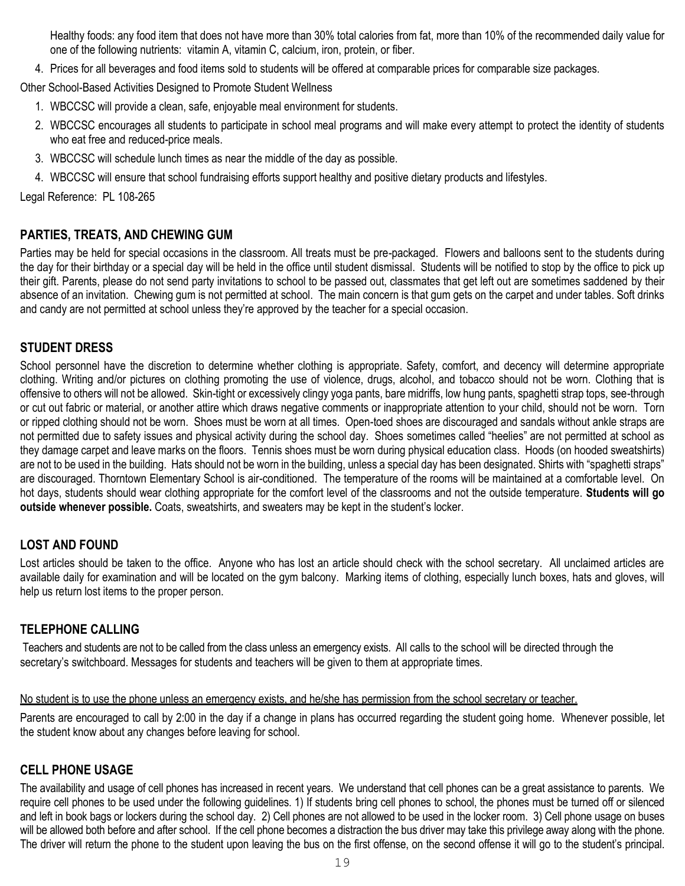Healthy foods: any food item that does not have more than 30% total calories from fat, more than 10% of the recommended daily value for one of the following nutrients: vitamin A, vitamin C, calcium, iron, protein, or fiber.

4. Prices for all beverages and food items sold to students will be offered at comparable prices for comparable size packages.

Other School-Based Activities Designed to Promote Student Wellness

- 1. WBCCSC will provide a clean, safe, enjoyable meal environment for students.
- 2. WBCCSC encourages all students to participate in school meal programs and will make every attempt to protect the identity of students who eat free and reduced-price meals.
- 3. WBCCSC will schedule lunch times as near the middle of the day as possible.
- 4. WBCCSC will ensure that school fundraising efforts support healthy and positive dietary products and lifestyles.

Legal Reference: PL 108-265

#### **PARTIES, TREATS, AND CHEWING GUM**

Parties may be held for special occasions in the classroom. All treats must be pre-packaged. Flowers and balloons sent to the students during the day for their birthday or a special day will be held in the office until student dismissal. Students will be notified to stop by the office to pick up their gift. Parents, please do not send party invitations to school to be passed out, classmates that get left out are sometimes saddened by their absence of an invitation. Chewing gum is not permitted at school. The main concern is that gum gets on the carpet and under tables. Soft drinks and candy are not permitted at school unless they're approved by the teacher for a special occasion.

#### **STUDENT DRESS**

School personnel have the discretion to determine whether clothing is appropriate. Safety, comfort, and decency will determine appropriate clothing. Writing and/or pictures on clothing promoting the use of violence, drugs, alcohol, and tobacco should not be worn. Clothing that is offensive to others will not be allowed. Skin-tight or excessively clingy yoga pants, bare midriffs, low hung pants, spaghetti strap tops, see-through or cut out fabric or material, or another attire which draws negative comments or inappropriate attention to your child, should not be worn. Torn or ripped clothing should not be worn. Shoes must be worn at all times. Open-toed shoes are discouraged and sandals without ankle straps are not permitted due to safety issues and physical activity during the school day. Shoes sometimes called "heelies" are not permitted at school as they damage carpet and leave marks on the floors. Tennis shoes must be worn during physical education class. Hoods (on hooded sweatshirts) are not to be used in the building. Hats should not be worn in the building, unless a special day has been designated. Shirts with "spaghetti straps" are discouraged. Thorntown Elementary School is air-conditioned. The temperature of the rooms will be maintained at a comfortable level. On hot days, students should wear clothing appropriate for the comfort level of the classrooms and not the outside temperature. **Students will go outside whenever possible.** Coats, sweatshirts, and sweaters may be kept in the student's locker.

#### **LOST AND FOUND**

Lost articles should be taken to the office. Anyone who has lost an article should check with the school secretary. All unclaimed articles are available daily for examination and will be located on the gym balcony. Marking items of clothing, especially lunch boxes, hats and gloves, will help us return lost items to the proper person.

#### **TELEPHONE CALLING**

Teachers and students are not to be called from the class unless an emergency exists. All calls to the school will be directed through the secretary's switchboard. Messages for students and teachers will be given to them at appropriate times.

#### No student is to use the phone unless an emergency exists, and he/she has permission from the school secretary or teacher.

Parents are encouraged to call by 2:00 in the day if a change in plans has occurred regarding the student going home. Whenever possible, let the student know about any changes before leaving for school.

#### **CELL PHONE USAGE**

The availability and usage of cell phones has increased in recent years. We understand that cell phones can be a great assistance to parents. We require cell phones to be used under the following guidelines. 1) If students bring cell phones to school, the phones must be turned off or silenced and left in book bags or lockers during the school day. 2) Cell phones are not allowed to be used in the locker room. 3) Cell phone usage on buses will be allowed both before and after school. If the cell phone becomes a distraction the bus driver may take this privilege away along with the phone. The driver will return the phone to the student upon leaving the bus on the first offense, on the second offense it will go to the student's principal.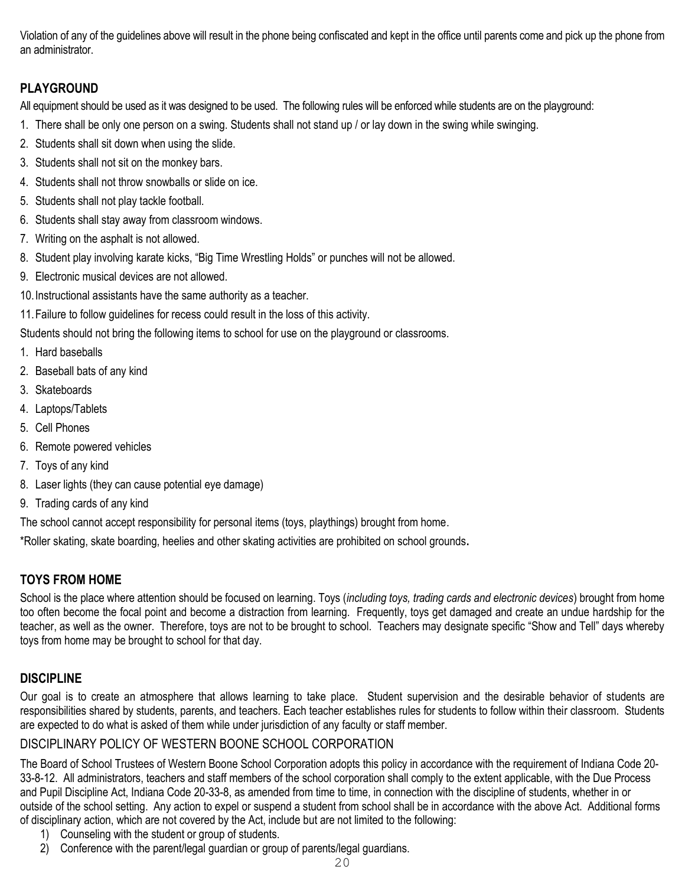Violation of any of the guidelines above will result in the phone being confiscated and kept in the office until parents come and pick up the phone from an administrator.

## **PLAYGROUND**

All equipment should be used as it was designed to be used. The following rules will be enforced while students are on the playground:

- 1. There shall be only one person on a swing. Students shall not stand up / or lay down in the swing while swinging.
- 2. Students shall sit down when using the slide.
- 3. Students shall not sit on the monkey bars.
- 4. Students shall not throw snowballs or slide on ice.
- 5. Students shall not play tackle football.
- 6. Students shall stay away from classroom windows.
- 7. Writing on the asphalt is not allowed.
- 8. Student play involving karate kicks, "Big Time Wrestling Holds" or punches will not be allowed.
- 9. Electronic musical devices are not allowed.
- 10.Instructional assistants have the same authority as a teacher.
- 11.Failure to follow guidelines for recess could result in the loss of this activity.

Students should not bring the following items to school for use on the playground or classrooms.

- 1. Hard baseballs
- 2. Baseball bats of any kind
- 3. Skateboards
- 4. Laptops/Tablets
- 5. Cell Phones
- 6. Remote powered vehicles
- 7. Toys of any kind
- 8. Laser lights (they can cause potential eye damage)
- 9. Trading cards of any kind

The school cannot accept responsibility for personal items (toys, playthings) brought from home.

\*Roller skating, skate boarding, heelies and other skating activities are prohibited on school grounds**.**

## **TOYS FROM HOME**

School is the place where attention should be focused on learning. Toys (*including toys, trading cards and electronic devices*) brought from home too often become the focal point and become a distraction from learning. Frequently, toys get damaged and create an undue hardship for the teacher, as well as the owner. Therefore, toys are not to be brought to school. Teachers may designate specific "Show and Tell" days whereby toys from home may be brought to school for that day.

## **DISCIPLINE**

Our goal is to create an atmosphere that allows learning to take place. Student supervision and the desirable behavior of students are responsibilities shared by students, parents, and teachers. Each teacher establishes rules for students to follow within their classroom. Students are expected to do what is asked of them while under jurisdiction of any faculty or staff member.

## DISCIPLINARY POLICY OF WESTERN BOONE SCHOOL CORPORATION

The Board of School Trustees of Western Boone School Corporation adopts this policy in accordance with the requirement of Indiana Code 20- 33-8-12. All administrators, teachers and staff members of the school corporation shall comply to the extent applicable, with the Due Process and Pupil Discipline Act, Indiana Code 20-33-8, as amended from time to time, in connection with the discipline of students, whether in or outside of the school setting. Any action to expel or suspend a student from school shall be in accordance with the above Act. Additional forms of disciplinary action, which are not covered by the Act, include but are not limited to the following:

- 1) Counseling with the student or group of students.
- 2) Conference with the parent/legal guardian or group of parents/legal guardians.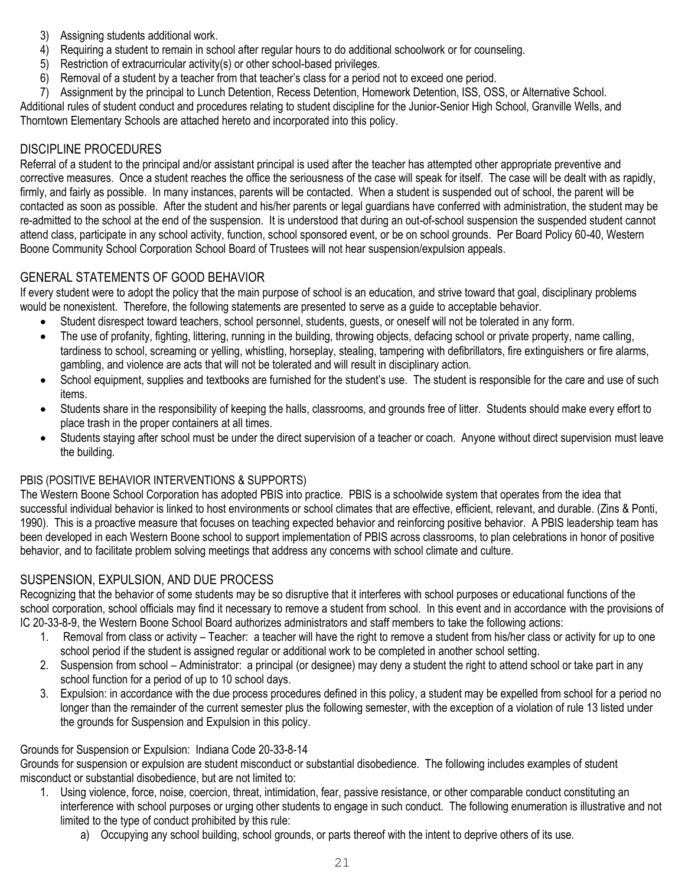- 3) Assigning students additional work.
- 4) Requiring a student to remain in school after regular hours to do additional schoolwork or for counseling.
- 5) Restriction of extracurricular activity(s) or other school-based privileges.
- 6) Removal of a student by a teacher from that teacher's class for a period not to exceed one period.
- 7) Assignment by the principal to Lunch Detention, Recess Detention, Homework Detention, ISS, OSS, or Alternative School.

Additional rules of student conduct and procedures relating to student discipline for the Junior-Senior High School, Granville Wells, and Thorntown Elementary Schools are attached hereto and incorporated into this policy.

#### DISCIPLINE PROCEDURES

Referral of a student to the principal and/or assistant principal is used after the teacher has attempted other appropriate preventive and corrective measures. Once a student reaches the office the seriousness of the case will speak for itself. The case will be dealt with as rapidly, firmly, and fairly as possible. In many instances, parents will be contacted. When a student is suspended out of school, the parent will be contacted as soon as possible. After the student and his/her parents or legal guardians have conferred with administration, the student may be re-admitted to the school at the end of the suspension. It is understood that during an out-of-school suspension the suspended student cannot attend class, participate in any school activity, function, school sponsored event, or be on school grounds. Per Board Policy 60-40, Western Boone Community School Corporation School Board of Trustees will not hear suspension/expulsion appeals.

## GENERAL STATEMENTS OF GOOD BEHAVIOR

If every student were to adopt the policy that the main purpose of school is an education, and strive toward that goal, disciplinary problems would be nonexistent. Therefore, the following statements are presented to serve as a guide to acceptable behavior.

- Student disrespect toward teachers, school personnel, students, guests, or oneself will not be tolerated in any form.
- The use of profanity, fighting, littering, running in the building, throwing objects, defacing school or private property, name calling, tardiness to school, screaming or yelling, whistling, horseplay, stealing, tampering with defibrillators, fire extinguishers or fire alarms, gambling, and violence are acts that will not be tolerated and will result in disciplinary action.
- School equipment, supplies and textbooks are furnished for the student's use. The student is responsible for the care and use of such items.
- Students share in the responsibility of keeping the halls, classrooms, and grounds free of litter. Students should make every effort to place trash in the proper containers at all times.
- Students staying after school must be under the direct supervision of a teacher or coach. Anyone without direct supervision must leave the building.

#### PBIS (POSITIVE BEHAVIOR INTERVENTIONS & SUPPORTS)

The Western Boone School Corporation has adopted PBIS into practice. PBIS is a schoolwide system that operates from the idea that successful individual behavior is linked to host environments or school climates that are effective, efficient, relevant, and durable. (Zins & Ponti, 1990). This is a proactive measure that focuses on teaching expected behavior and reinforcing positive behavior. A PBIS leadership team has been developed in each Western Boone school to support implementation of PBIS across classrooms, to plan celebrations in honor of positive behavior, and to facilitate problem solving meetings that address any concerns with school climate and culture.

#### SUSPENSION, EXPULSION, AND DUE PROCESS

Recognizing that the behavior of some students may be so disruptive that it interferes with school purposes or educational functions of the school corporation, school officials may find it necessary to remove a student from school. In this event and in accordance with the provisions of IC 20-33-8-9, the Western Boone School Board authorizes administrators and staff members to take the following actions:

- 1. Removal from class or activity Teacher: a teacher will have the right to remove a student from his/her class or activity for up to one school period if the student is assigned regular or additional work to be completed in another school setting.
- 2. Suspension from school Administrator: a principal (or designee) may deny a student the right to attend school or take part in any school function for a period of up to 10 school days.
- 3. Expulsion: in accordance with the due process procedures defined in this policy, a student may be expelled from school for a period no longer than the remainder of the current semester plus the following semester, with the exception of a violation of rule 13 listed under the grounds for Suspension and Expulsion in this policy.

#### Grounds for Suspension or Expulsion: Indiana Code 20-33-8-14

Grounds for suspension or expulsion are student misconduct or substantial disobedience. The following includes examples of student misconduct or substantial disobedience, but are not limited to:

- 1. Using violence, force, noise, coercion, threat, intimidation, fear, passive resistance, or other comparable conduct constituting an interference with school purposes or urging other students to engage in such conduct. The following enumeration is illustrative and not limited to the type of conduct prohibited by this rule:
	- a) Occupying any school building, school grounds, or parts thereof with the intent to deprive others of its use.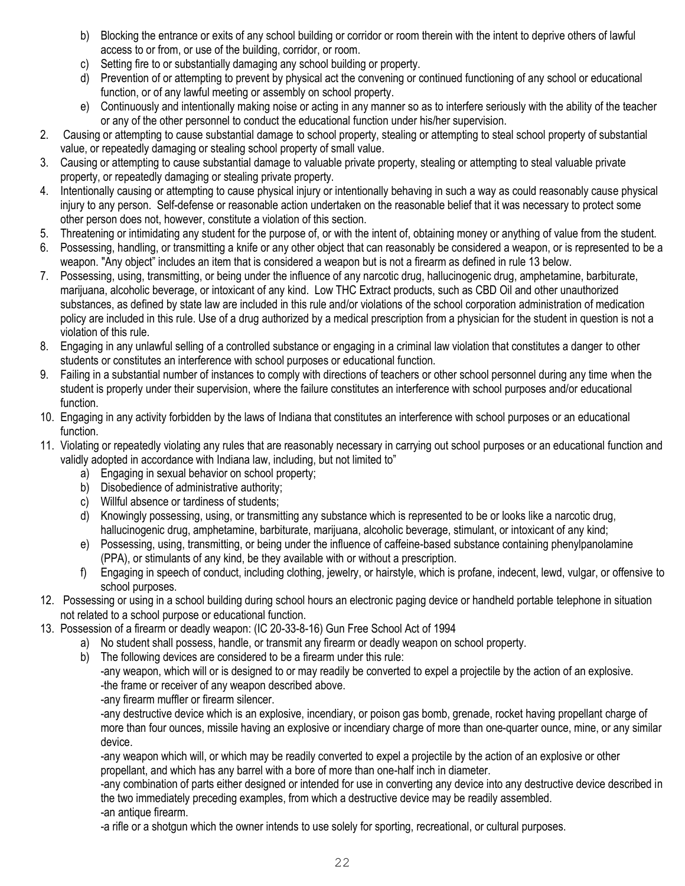- b) Blocking the entrance or exits of any school building or corridor or room therein with the intent to deprive others of lawful access to or from, or use of the building, corridor, or room.
- c) Setting fire to or substantially damaging any school building or property.
- d) Prevention of or attempting to prevent by physical act the convening or continued functioning of any school or educational function, or of any lawful meeting or assembly on school property.
- e) Continuously and intentionally making noise or acting in any manner so as to interfere seriously with the ability of the teacher or any of the other personnel to conduct the educational function under his/her supervision.
- 2. Causing or attempting to cause substantial damage to school property, stealing or attempting to steal school property of substantial value, or repeatedly damaging or stealing school property of small value.
- 3. Causing or attempting to cause substantial damage to valuable private property, stealing or attempting to steal valuable private property, or repeatedly damaging or stealing private property.
- 4. Intentionally causing or attempting to cause physical injury or intentionally behaving in such a way as could reasonably cause physical injury to any person. Self-defense or reasonable action undertaken on the reasonable belief that it was necessary to protect some other person does not, however, constitute a violation of this section.
- 5. Threatening or intimidating any student for the purpose of, or with the intent of, obtaining money or anything of value from the student.
- 6. Possessing, handling, or transmitting a knife or any other object that can reasonably be considered a weapon, or is represented to be a weapon. "Any object" includes an item that is considered a weapon but is not a firearm as defined in rule 13 below.
- 7. Possessing, using, transmitting, or being under the influence of any narcotic drug, hallucinogenic drug, amphetamine, barbiturate, marijuana, alcoholic beverage, or intoxicant of any kind. Low THC Extract products, such as CBD Oil and other unauthorized substances, as defined by state law are included in this rule and/or violations of the school corporation administration of medication policy are included in this rule. Use of a drug authorized by a medical prescription from a physician for the student in question is not a violation of this rule.
- 8. Engaging in any unlawful selling of a controlled substance or engaging in a criminal law violation that constitutes a danger to other students or constitutes an interference with school purposes or educational function.
- 9. Failing in a substantial number of instances to comply with directions of teachers or other school personnel during any time when the student is properly under their supervision, where the failure constitutes an interference with school purposes and/or educational function.
- 10. Engaging in any activity forbidden by the laws of Indiana that constitutes an interference with school purposes or an educational function.
- 11. Violating or repeatedly violating any rules that are reasonably necessary in carrying out school purposes or an educational function and validly adopted in accordance with Indiana law, including, but not limited to"
	- a) Engaging in sexual behavior on school property;
	- b) Disobedience of administrative authority;
	- c) Willful absence or tardiness of students;
	- d) Knowingly possessing, using, or transmitting any substance which is represented to be or looks like a narcotic drug, hallucinogenic drug, amphetamine, barbiturate, marijuana, alcoholic beverage, stimulant, or intoxicant of any kind;
	- e) Possessing, using, transmitting, or being under the influence of caffeine-based substance containing phenylpanolamine (PPA), or stimulants of any kind, be they available with or without a prescription.
	- f) Engaging in speech of conduct, including clothing, jewelry, or hairstyle, which is profane, indecent, lewd, vulgar, or offensive to school purposes.
- 12. Possessing or using in a school building during school hours an electronic paging device or handheld portable telephone in situation not related to a school purpose or educational function.
- 13. Possession of a firearm or deadly weapon: (IC 20-33-8-16) Gun Free School Act of 1994
	- a) No student shall possess, handle, or transmit any firearm or deadly weapon on school property.
	- b) The following devices are considered to be a firearm under this rule:

-any weapon, which will or is designed to or may readily be converted to expel a projectile by the action of an explosive. -the frame or receiver of any weapon described above.

-any firearm muffler or firearm silencer.

-any destructive device which is an explosive, incendiary, or poison gas bomb, grenade, rocket having propellant charge of more than four ounces, missile having an explosive or incendiary charge of more than one-quarter ounce, mine, or any similar device.

-any weapon which will, or which may be readily converted to expel a projectile by the action of an explosive or other propellant, and which has any barrel with a bore of more than one-half inch in diameter.

-any combination of parts either designed or intended for use in converting any device into any destructive device described in the two immediately preceding examples, from which a destructive device may be readily assembled. -an antique firearm.

-a rifle or a shotgun which the owner intends to use solely for sporting, recreational, or cultural purposes.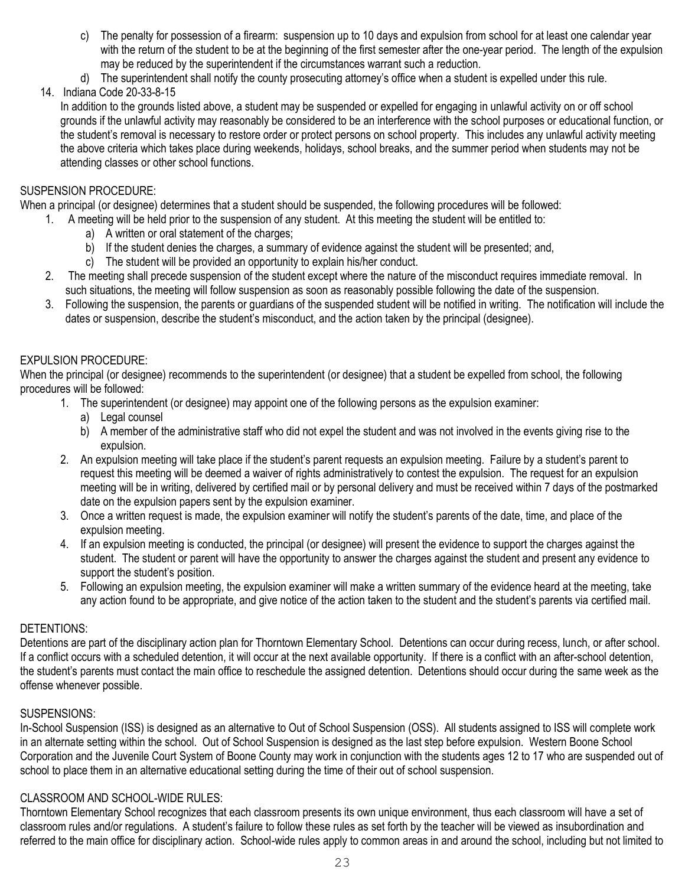- c) The penalty for possession of a firearm: suspension up to 10 days and expulsion from school for at least one calendar year with the return of the student to be at the beginning of the first semester after the one-year period. The length of the expulsion may be reduced by the superintendent if the circumstances warrant such a reduction.
- d) The superintendent shall notify the county prosecuting attorney's office when a student is expelled under this rule.

14. Indiana Code 20-33-8-15

In addition to the grounds listed above, a student may be suspended or expelled for engaging in unlawful activity on or off school grounds if the unlawful activity may reasonably be considered to be an interference with the school purposes or educational function, or the student's removal is necessary to restore order or protect persons on school property. This includes any unlawful activity meeting the above criteria which takes place during weekends, holidays, school breaks, and the summer period when students may not be attending classes or other school functions.

#### SUSPENSION PROCEDURE:

When a principal (or designee) determines that a student should be suspended, the following procedures will be followed:

- 1. A meeting will be held prior to the suspension of any student. At this meeting the student will be entitled to:
	- a) A written or oral statement of the charges;
	- b) If the student denies the charges, a summary of evidence against the student will be presented; and,
	- c) The student will be provided an opportunity to explain his/her conduct.
- 2. The meeting shall precede suspension of the student except where the nature of the misconduct requires immediate removal. In such situations, the meeting will follow suspension as soon as reasonably possible following the date of the suspension.
- 3. Following the suspension, the parents or guardians of the suspended student will be notified in writing. The notification will include the dates or suspension, describe the student's misconduct, and the action taken by the principal (designee).

#### EXPULSION PROCEDURE:

When the principal (or designee) recommends to the superintendent (or designee) that a student be expelled from school, the following procedures will be followed:

- 1. The superintendent (or designee) may appoint one of the following persons as the expulsion examiner:
	- a) Legal counsel
	- b) A member of the administrative staff who did not expel the student and was not involved in the events giving rise to the expulsion.
- 2. An expulsion meeting will take place if the student's parent requests an expulsion meeting. Failure by a student's parent to request this meeting will be deemed a waiver of rights administratively to contest the expulsion. The request for an expulsion meeting will be in writing, delivered by certified mail or by personal delivery and must be received within 7 days of the postmarked date on the expulsion papers sent by the expulsion examiner.
- 3. Once a written request is made, the expulsion examiner will notify the student's parents of the date, time, and place of the expulsion meeting.
- 4. If an expulsion meeting is conducted, the principal (or designee) will present the evidence to support the charges against the student. The student or parent will have the opportunity to answer the charges against the student and present any evidence to support the student's position.
- 5. Following an expulsion meeting, the expulsion examiner will make a written summary of the evidence heard at the meeting, take any action found to be appropriate, and give notice of the action taken to the student and the student's parents via certified mail.

#### DETENTIONS:

Detentions are part of the disciplinary action plan for Thorntown Elementary School. Detentions can occur during recess, lunch, or after school. If a conflict occurs with a scheduled detention, it will occur at the next available opportunity. If there is a conflict with an after-school detention, the student's parents must contact the main office to reschedule the assigned detention. Detentions should occur during the same week as the offense whenever possible.

#### SUSPENSIONS:

In-School Suspension (ISS) is designed as an alternative to Out of School Suspension (OSS). All students assigned to ISS will complete work in an alternate setting within the school. Out of School Suspension is designed as the last step before expulsion. Western Boone School Corporation and the Juvenile Court System of Boone County may work in conjunction with the students ages 12 to 17 who are suspended out of school to place them in an alternative educational setting during the time of their out of school suspension.

#### CLASSROOM AND SCHOOL-WIDE RULES:

Thorntown Elementary School recognizes that each classroom presents its own unique environment, thus each classroom will have a set of classroom rules and/or regulations. A student's failure to follow these rules as set forth by the teacher will be viewed as insubordination and referred to the main office for disciplinary action. School-wide rules apply to common areas in and around the school, including but not limited to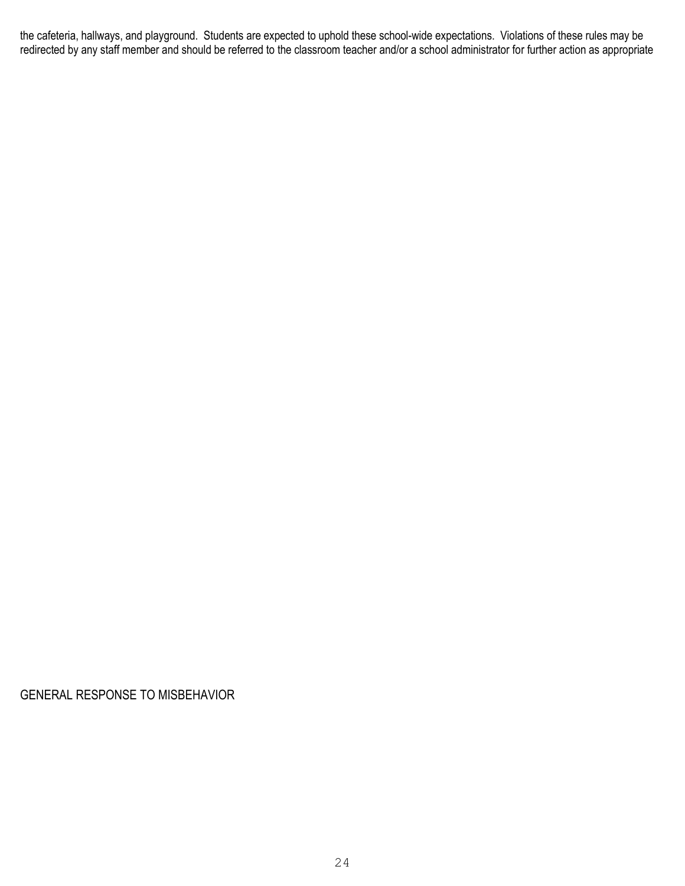the cafeteria, hallways, and playground. Students are expected to uphold these school-wide expectations. Violations of these rules may be redirected by any staff member and should be referred to the classroom teacher and/or a school administrator for further action as appropriate

GENERAL RESPONSE TO MISBEHAVIOR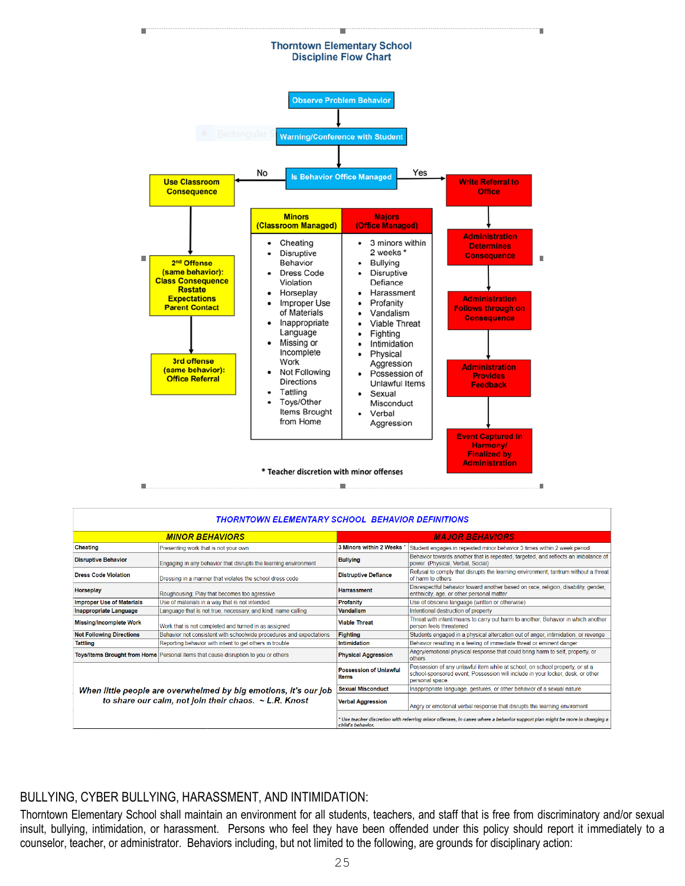

|                                                            | <b>MINOR BEHAVIORS</b>                                                             | <b>MAJOR BEHAVIORS</b>                                                                                                                        |                                                                                                                                                                                   |  |  |  |  |
|------------------------------------------------------------|------------------------------------------------------------------------------------|-----------------------------------------------------------------------------------------------------------------------------------------------|-----------------------------------------------------------------------------------------------------------------------------------------------------------------------------------|--|--|--|--|
| Cheating                                                   | Presenting work that is not your own                                               | 3 Minors within 2 Weeks                                                                                                                       | Student engages in repeated minor behavior 3 times within 2 week period                                                                                                           |  |  |  |  |
| <b>Disruptive Behavior</b>                                 | Engaging in any behavior that disrupts the learning environment                    | <b>Bullying</b>                                                                                                                               | Behavior towards another that is repeated, targeted, and reflects an imbalance of<br>power. (Physical, Verbal, Social)                                                            |  |  |  |  |
| <b>Dress Code Violation</b>                                | Dressing in a manner that violates the school dress code                           | <b>Distruptive Defiance</b>                                                                                                                   | Refusal to comply that disrupts the learning environment; tantrum without a threat<br>of harm to others                                                                           |  |  |  |  |
| Horseplay                                                  | Roughousing: Play that becomes too agressive                                       | <b>Harrassment</b>                                                                                                                            | Disrespectful behavior toward another based on race, religion, disability, gender,<br>enthnicity, age, or other personal matter                                                   |  |  |  |  |
| <b>Improper Use of Materials</b>                           | Use of materials in a way that is not intended                                     | Profanity                                                                                                                                     | Use of obscene language (written or otherwise)                                                                                                                                    |  |  |  |  |
| Inappropriate Language                                     | Language that is not true, necessary, and kind; name calling                       | <b>Vandalism</b>                                                                                                                              | Intentional destruction of property                                                                                                                                               |  |  |  |  |
| <b>Missing/Incomplete Work</b>                             | Work that is not completed and turned in as assigned                               | <b>Viable Threat</b>                                                                                                                          | Threat with intent/means to carry out harm to another; Behavior in which another<br>person feels threatened                                                                       |  |  |  |  |
| <b>Not Following Directions</b>                            | Behavior not consistent with schoolwide procedures and expectations                | Fighting                                                                                                                                      | Students engaged in a physical altercation out of anger, intimidation, or revenge                                                                                                 |  |  |  |  |
| <b>Tattling</b>                                            | Reporting behavior with intent to get others in trouble                            | <b>Intimidation</b>                                                                                                                           | Behavior resulting in a feeling of immediate threat or eminent danger                                                                                                             |  |  |  |  |
|                                                            | Toys/Items Brought from Home Personal items that cause disruption to you or others | <b>Physical Aggression</b>                                                                                                                    | Angry/emotional physical response that could bring harm to self, property, or<br>others                                                                                           |  |  |  |  |
|                                                            |                                                                                    | <b>Possession of Unlawful</b><br><b>Items</b>                                                                                                 | Possession of any unlawful item while at school, on school property, or at a<br>school-sponsored event; Possession will include in your locker, desk, or other<br>personal space. |  |  |  |  |
|                                                            | When little people are overwhelmed by big emotions, it's our job                   | <b>Sexual Misconduct</b>                                                                                                                      | Inappropriate language, gestures, or other behavior of a sexual nature                                                                                                            |  |  |  |  |
| to share our calm, not join their chaos. $\sim$ L.R. Knost |                                                                                    | <b>Verbal Aggression</b>                                                                                                                      | Angry or emotional verbal response that disrupts the learning enviroment                                                                                                          |  |  |  |  |
|                                                            |                                                                                    | Use teacher discretion with referring minor offenses, in cases where a behavior support plan might be more in changing a<br>child's behavior. |                                                                                                                                                                                   |  |  |  |  |

## BULLYING, CYBER BULLYING, HARASSMENT, AND INTIMIDATION:

Thorntown Elementary School shall maintain an environment for all students, teachers, and staff that is free from discriminatory and/or sexual insult, bullying, intimidation, or harassment. Persons who feel they have been offended under this policy should report it immediately to a counselor, teacher, or administrator. Behaviors including, but not limited to the following, are grounds for disciplinary action: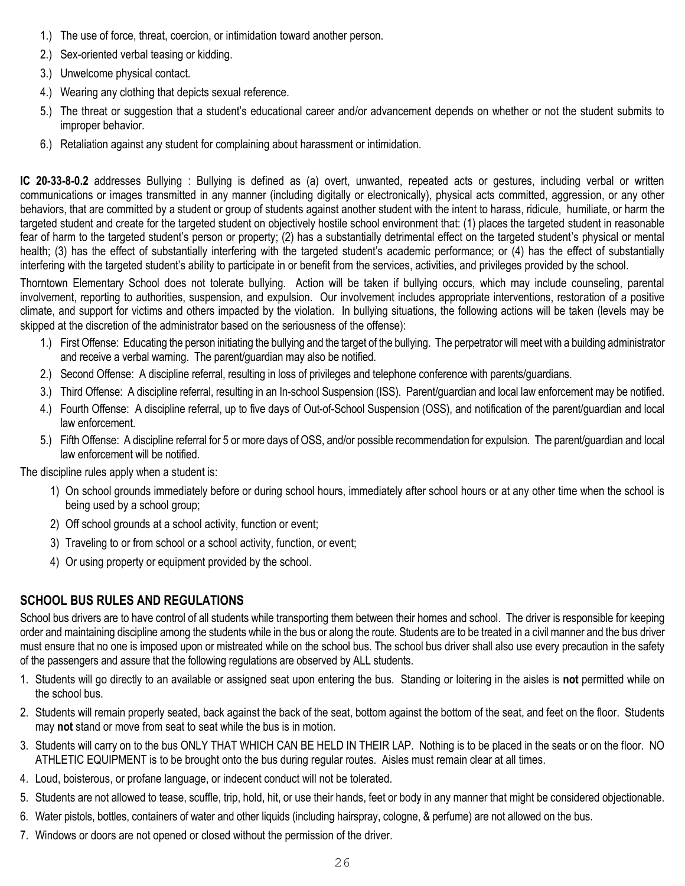- 1.) The use of force, threat, coercion, or intimidation toward another person.
- 2.) Sex-oriented verbal teasing or kidding.
- 3.) Unwelcome physical contact.
- 4.) Wearing any clothing that depicts sexual reference.
- 5.) The threat or suggestion that a student's educational career and/or advancement depends on whether or not the student submits to improper behavior.
- 6.) Retaliation against any student for complaining about harassment or intimidation.

**IC 20-33-8-0.2** addresses Bullying : Bullying is defined as (a) overt, unwanted, repeated acts or gestures, including verbal or written communications or images transmitted in any manner (including digitally or electronically), physical acts committed, aggression, or any other behaviors, that are committed by a student or group of students against another student with the intent to harass, ridicule, humiliate, or harm the targeted student and create for the targeted student on objectively hostile school environment that: (1) places the targeted student in reasonable fear of harm to the targeted student's person or property; (2) has a substantially detrimental effect on the targeted student's physical or mental health; (3) has the effect of substantially interfering with the targeted student's academic performance; or (4) has the effect of substantially interfering with the targeted student's ability to participate in or benefit from the services, activities, and privileges provided by the school.

Thorntown Elementary School does not tolerate bullying. Action will be taken if bullying occurs, which may include counseling, parental involvement, reporting to authorities, suspension, and expulsion. Our involvement includes appropriate interventions, restoration of a positive climate, and support for victims and others impacted by the violation. In bullying situations, the following actions will be taken (levels may be skipped at the discretion of the administrator based on the seriousness of the offense):

- 1.) First Offense: Educating the person initiating the bullying and the target of the bullying. The perpetrator will meet with a building administrator and receive a verbal warning. The parent/guardian may also be notified.
- 2.) Second Offense: A discipline referral, resulting in loss of privileges and telephone conference with parents/guardians.
- 3.) Third Offense: A discipline referral, resulting in an In-school Suspension (ISS). Parent/guardian and local law enforcement may be notified.
- 4.) Fourth Offense: A discipline referral, up to five days of Out-of-School Suspension (OSS), and notification of the parent/guardian and local law enforcement.
- 5.) Fifth Offense: A discipline referral for 5 or more days of OSS, and/or possible recommendation for expulsion. The parent/guardian and local law enforcement will be notified.

The discipline rules apply when a student is:

- 1) On school grounds immediately before or during school hours, immediately after school hours or at any other time when the school is being used by a school group;
- 2) Off school grounds at a school activity, function or event;
- 3) Traveling to or from school or a school activity, function, or event;
- 4) Or using property or equipment provided by the school.

## **SCHOOL BUS RULES AND REGULATIONS**

School bus drivers are to have control of all students while transporting them between their homes and school. The driver is responsible for keeping order and maintaining discipline among the students while in the bus or along the route. Students are to be treated in a civil manner and the bus driver must ensure that no one is imposed upon or mistreated while on the school bus. The school bus driver shall also use every precaution in the safety of the passengers and assure that the following regulations are observed by ALL students.

- 1. Students will go directly to an available or assigned seat upon entering the bus. Standing or loitering in the aisles is **not** permitted while on the school bus.
- 2. Students will remain properly seated, back against the back of the seat, bottom against the bottom of the seat, and feet on the floor. Students may **not** stand or move from seat to seat while the bus is in motion.
- 3. Students will carry on to the bus ONLY THAT WHICH CAN BE HELD IN THEIR LAP. Nothing is to be placed in the seats or on the floor. NO ATHLETIC EQUIPMENT is to be brought onto the bus during regular routes. Aisles must remain clear at all times.
- 4. Loud, boisterous, or profane language, or indecent conduct will not be tolerated.
- 5. Students are not allowed to tease, scuffle, trip, hold, hit, or use their hands, feet or body in any manner that might be considered objectionable.
- 6. Water pistols, bottles, containers of water and other liquids (including hairspray, cologne, & perfume) are not allowed on the bus.
- 7. Windows or doors are not opened or closed without the permission of the driver.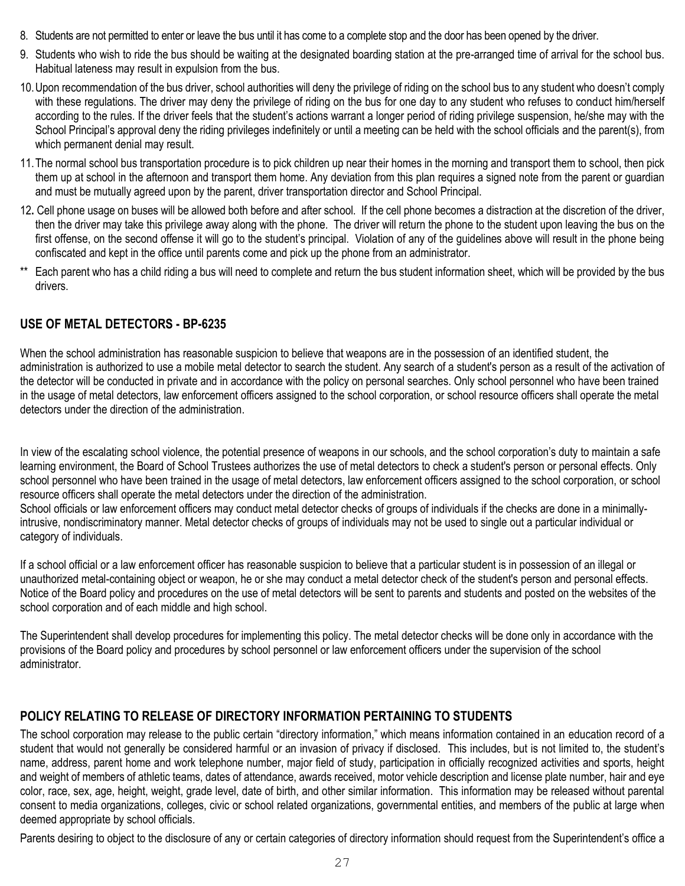- 8. Students are not permitted to enter or leave the bus until it has come to a complete stop and the door has been opened by the driver.
- 9. Students who wish to ride the bus should be waiting at the designated boarding station at the pre-arranged time of arrival for the school bus. Habitual lateness may result in expulsion from the bus.
- 10.Upon recommendation of the bus driver, school authorities will deny the privilege of riding on the school bus to any student who doesn't comply with these regulations. The driver may deny the privilege of riding on the bus for one day to any student who refuses to conduct him/herself according to the rules. If the driver feels that the student's actions warrant a longer period of riding privilege suspension, he/she may with the School Principal's approval deny the riding privileges indefinitely or until a meeting can be held with the school officials and the parent(s), from which permanent denial may result.
- 11.The normal school bus transportation procedure is to pick children up near their homes in the morning and transport them to school, then pick them up at school in the afternoon and transport them home. Any deviation from this plan requires a signed note from the parent or guardian and must be mutually agreed upon by the parent, driver transportation director and School Principal.
- 12**.** Cell phone usage on buses will be allowed both before and after school. If the cell phone becomes a distraction at the discretion of the driver, then the driver may take this privilege away along with the phone. The driver will return the phone to the student upon leaving the bus on the first offense, on the second offense it will go to the student's principal. Violation of any of the guidelines above will result in the phone being confiscated and kept in the office until parents come and pick up the phone from an administrator.
- \*\* Each parent who has a child riding a bus will need to complete and return the bus student information sheet, which will be provided by the bus drivers.

## **USE OF METAL DETECTORS - BP-6235**

When the school administration has reasonable suspicion to believe that weapons are in the possession of an identified student, the administration is authorized to use a mobile metal detector to search the student. Any search of a student's person as a result of the activation of the detector will be conducted in private and in accordance with the policy on personal searches. Only school personnel who have been trained in the usage of metal detectors, law enforcement officers assigned to the school corporation, or school resource officers shall operate the metal detectors under the direction of the administration.

In view of the escalating school violence, the potential presence of weapons in our schools, and the school corporation's duty to maintain a safe learning environment, the Board of School Trustees authorizes the use of metal detectors to check a student's person or personal effects. Only school personnel who have been trained in the usage of metal detectors, law enforcement officers assigned to the school corporation, or school resource officers shall operate the metal detectors under the direction of the administration.

School officials or law enforcement officers may conduct metal detector checks of groups of individuals if the checks are done in a minimallyintrusive, nondiscriminatory manner. Metal detector checks of groups of individuals may not be used to single out a particular individual or category of individuals.

If a school official or a law enforcement officer has reasonable suspicion to believe that a particular student is in possession of an illegal or unauthorized metal-containing object or weapon, he or she may conduct a metal detector check of the student's person and personal effects. Notice of the Board policy and procedures on the use of metal detectors will be sent to parents and students and posted on the websites of the school corporation and of each middle and high school.

The Superintendent shall develop procedures for implementing this policy. The metal detector checks will be done only in accordance with the provisions of the Board policy and procedures by school personnel or law enforcement officers under the supervision of the school administrator.

## **POLICY RELATING TO RELEASE OF DIRECTORY INFORMATION PERTAINING TO STUDENTS**

The school corporation may release to the public certain "directory information," which means information contained in an education record of a student that would not generally be considered harmful or an invasion of privacy if disclosed. This includes, but is not limited to, the student's name, address, parent home and work telephone number, major field of study, participation in officially recognized activities and sports, height and weight of members of athletic teams, dates of attendance, awards received, motor vehicle description and license plate number, hair and eye color, race, sex, age, height, weight, grade level, date of birth, and other similar information. This information may be released without parental consent to media organizations, colleges, civic or school related organizations, governmental entities, and members of the public at large when deemed appropriate by school officials.

Parents desiring to object to the disclosure of any or certain categories of directory information should request from the Superintendent's office a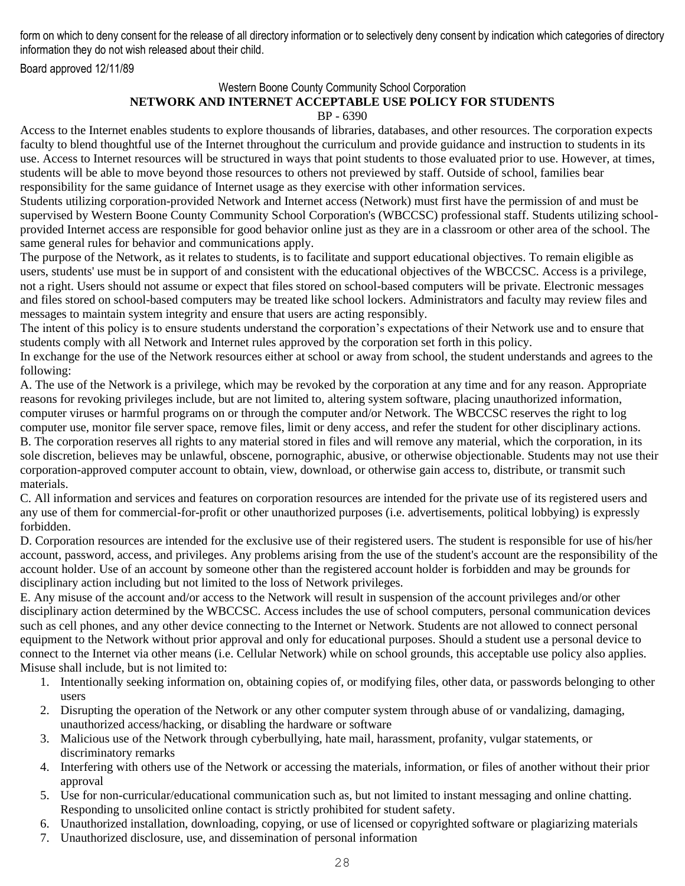form on which to deny consent for the release of all directory information or to selectively deny consent by indication which categories of directory information they do not wish released about their child.

Board approved 12/11/89

#### Western Boone County Community School Corporation **NETWORK AND INTERNET ACCEPTABLE USE POLICY FOR STUDENTS** BP - 6390

Access to the Internet enables students to explore thousands of libraries, databases, and other resources. The corporation expects faculty to blend thoughtful use of the Internet throughout the curriculum and provide guidance and instruction to students in its use. Access to Internet resources will be structured in ways that point students to those evaluated prior to use. However, at times, students will be able to move beyond those resources to others not previewed by staff. Outside of school, families bear responsibility for the same guidance of Internet usage as they exercise with other information services.

Students utilizing corporation-provided Network and Internet access (Network) must first have the permission of and must be supervised by Western Boone County Community School Corporation's (WBCCSC) professional staff. Students utilizing schoolprovided Internet access are responsible for good behavior online just as they are in a classroom or other area of the school. The same general rules for behavior and communications apply.

The purpose of the Network, as it relates to students, is to facilitate and support educational objectives. To remain eligible as users, students' use must be in support of and consistent with the educational objectives of the WBCCSC. Access is a privilege, not a right. Users should not assume or expect that files stored on school-based computers will be private. Electronic messages and files stored on school-based computers may be treated like school lockers. Administrators and faculty may review files and messages to maintain system integrity and ensure that users are acting responsibly.

The intent of this policy is to ensure students understand the corporation's expectations of their Network use and to ensure that students comply with all Network and Internet rules approved by the corporation set forth in this policy.

In exchange for the use of the Network resources either at school or away from school, the student understands and agrees to the following:

A. The use of the Network is a privilege, which may be revoked by the corporation at any time and for any reason. Appropriate reasons for revoking privileges include, but are not limited to, altering system software, placing unauthorized information, computer viruses or harmful programs on or through the computer and/or Network. The WBCCSC reserves the right to log computer use, monitor file server space, remove files, limit or deny access, and refer the student for other disciplinary actions. B. The corporation reserves all rights to any material stored in files and will remove any material, which the corporation, in its sole discretion, believes may be unlawful, obscene, pornographic, abusive, or otherwise objectionable. Students may not use their corporation-approved computer account to obtain, view, download, or otherwise gain access to, distribute, or transmit such materials.

C. All information and services and features on corporation resources are intended for the private use of its registered users and any use of them for commercial-for-profit or other unauthorized purposes (i.e. advertisements, political lobbying) is expressly forbidden.

D. Corporation resources are intended for the exclusive use of their registered users. The student is responsible for use of his/her account, password, access, and privileges. Any problems arising from the use of the student's account are the responsibility of the account holder. Use of an account by someone other than the registered account holder is forbidden and may be grounds for disciplinary action including but not limited to the loss of Network privileges.

E. Any misuse of the account and/or access to the Network will result in suspension of the account privileges and/or other disciplinary action determined by the WBCCSC. Access includes the use of school computers, personal communication devices such as cell phones, and any other device connecting to the Internet or Network. Students are not allowed to connect personal equipment to the Network without prior approval and only for educational purposes. Should a student use a personal device to connect to the Internet via other means (i.e. Cellular Network) while on school grounds, this acceptable use policy also applies. Misuse shall include, but is not limited to:

- 1. Intentionally seeking information on, obtaining copies of, or modifying files, other data, or passwords belonging to other users
- 2. Disrupting the operation of the Network or any other computer system through abuse of or vandalizing, damaging, unauthorized access/hacking, or disabling the hardware or software
- 3. Malicious use of the Network through cyberbullying, hate mail, harassment, profanity, vulgar statements, or discriminatory remarks
- 4. Interfering with others use of the Network or accessing the materials, information, or files of another without their prior approval
- 5. Use for non-curricular/educational communication such as, but not limited to instant messaging and online chatting. Responding to unsolicited online contact is strictly prohibited for student safety.
- 6. Unauthorized installation, downloading, copying, or use of licensed or copyrighted software or plagiarizing materials
- 7. Unauthorized disclosure, use, and dissemination of personal information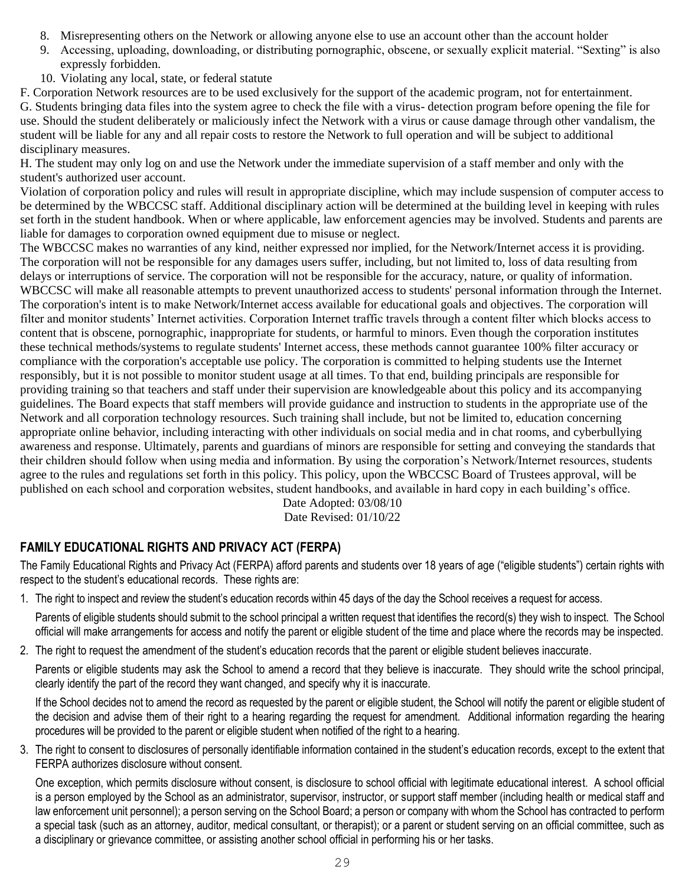- 8. Misrepresenting others on the Network or allowing anyone else to use an account other than the account holder
- 9. Accessing, uploading, downloading, or distributing pornographic, obscene, or sexually explicit material. "Sexting" is also expressly forbidden.
- 10. Violating any local, state, or federal statute

F. Corporation Network resources are to be used exclusively for the support of the academic program, not for entertainment. G. Students bringing data files into the system agree to check the file with a virus- detection program before opening the file for use. Should the student deliberately or maliciously infect the Network with a virus or cause damage through other vandalism, the student will be liable for any and all repair costs to restore the Network to full operation and will be subject to additional disciplinary measures.

H. The student may only log on and use the Network under the immediate supervision of a staff member and only with the student's authorized user account.

Violation of corporation policy and rules will result in appropriate discipline, which may include suspension of computer access to be determined by the WBCCSC staff. Additional disciplinary action will be determined at the building level in keeping with rules set forth in the student handbook. When or where applicable, law enforcement agencies may be involved. Students and parents are liable for damages to corporation owned equipment due to misuse or neglect.

The WBCCSC makes no warranties of any kind, neither expressed nor implied, for the Network/Internet access it is providing. The corporation will not be responsible for any damages users suffer, including, but not limited to, loss of data resulting from delays or interruptions of service. The corporation will not be responsible for the accuracy, nature, or quality of information. WBCCSC will make all reasonable attempts to prevent unauthorized access to students' personal information through the Internet. The corporation's intent is to make Network/Internet access available for educational goals and objectives. The corporation will filter and monitor students' Internet activities. Corporation Internet traffic travels through a content filter which blocks access to content that is obscene, pornographic, inappropriate for students, or harmful to minors. Even though the corporation institutes these technical methods/systems to regulate students' Internet access, these methods cannot guarantee 100% filter accuracy or compliance with the corporation's acceptable use policy. The corporation is committed to helping students use the Internet responsibly, but it is not possible to monitor student usage at all times. To that end, building principals are responsible for providing training so that teachers and staff under their supervision are knowledgeable about this policy and its accompanying guidelines. The Board expects that staff members will provide guidance and instruction to students in the appropriate use of the Network and all corporation technology resources. Such training shall include, but not be limited to, education concerning appropriate online behavior, including interacting with other individuals on social media and in chat rooms, and cyberbullying awareness and response. Ultimately, parents and guardians of minors are responsible for setting and conveying the standards that their children should follow when using media and information. By using the corporation's Network/Internet resources, students agree to the rules and regulations set forth in this policy. This policy, upon the WBCCSC Board of Trustees approval, will be published on each school and corporation websites, student handbooks, and available in hard copy in each building's office.

Date Adopted: 03/08/10 Date Revised: 01/10/22

## **FAMILY EDUCATIONAL RIGHTS AND PRIVACY ACT (FERPA)**

The Family Educational Rights and Privacy Act (FERPA) afford parents and students over 18 years of age ("eligible students") certain rights with respect to the student's educational records. These rights are:

1. The right to inspect and review the student's education records within 45 days of the day the School receives a request for access.

Parents of eligible students should submit to the school principal a written request that identifies the record(s) they wish to inspect. The School official will make arrangements for access and notify the parent or eligible student of the time and place where the records may be inspected.

2. The right to request the amendment of the student's education records that the parent or eligible student believes inaccurate.

Parents or eligible students may ask the School to amend a record that they believe is inaccurate. They should write the school principal, clearly identify the part of the record they want changed, and specify why it is inaccurate.

If the School decides not to amend the record as requested by the parent or eligible student, the School will notify the parent or eligible student of the decision and advise them of their right to a hearing regarding the request for amendment. Additional information regarding the hearing procedures will be provided to the parent or eligible student when notified of the right to a hearing.

3. The right to consent to disclosures of personally identifiable information contained in the student's education records, except to the extent that FERPA authorizes disclosure without consent.

One exception, which permits disclosure without consent, is disclosure to school official with legitimate educational interest. A school official is a person employed by the School as an administrator, supervisor, instructor, or support staff member (including health or medical staff and law enforcement unit personnel); a person serving on the School Board; a person or company with whom the School has contracted to perform a special task (such as an attorney, auditor, medical consultant, or therapist); or a parent or student serving on an official committee, such as a disciplinary or grievance committee, or assisting another school official in performing his or her tasks.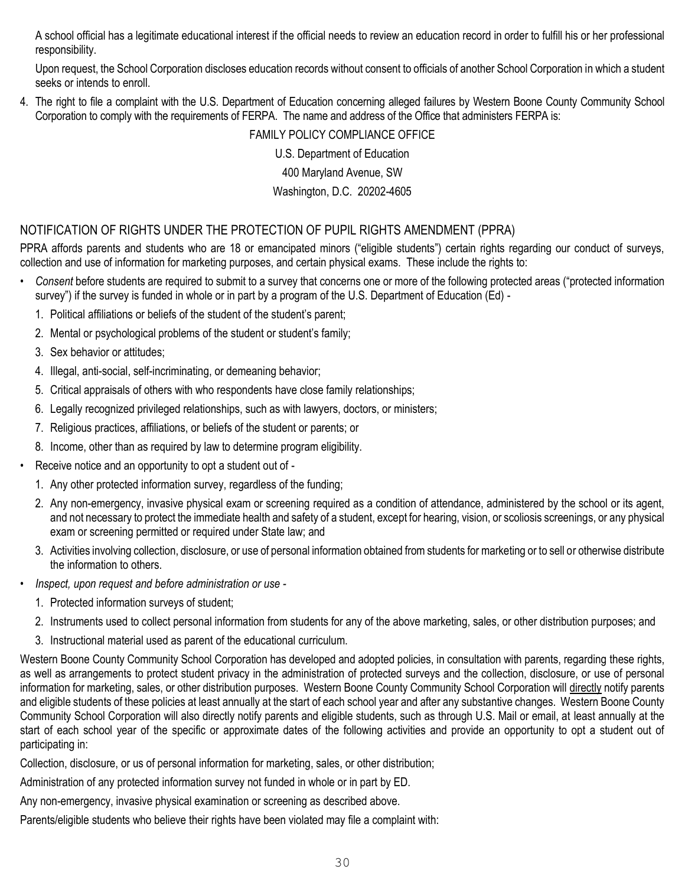A school official has a legitimate educational interest if the official needs to review an education record in order to fulfill his or her professional responsibility.

Upon request, the School Corporation discloses education records without consent to officials of another School Corporation in which a student seeks or intends to enroll.

4. The right to file a complaint with the U.S. Department of Education concerning alleged failures by Western Boone County Community School Corporation to comply with the requirements of FERPA. The name and address of the Office that administers FERPA is:

#### FAMILY POLICY COMPLIANCE OFFICE

U.S. Department of Education 400 Maryland Avenue, SW Washington, D.C. 20202-4605

## NOTIFICATION OF RIGHTS UNDER THE PROTECTION OF PUPIL RIGHTS AMENDMENT (PPRA)

PPRA affords parents and students who are 18 or emancipated minors ("eligible students") certain rights regarding our conduct of surveys, collection and use of information for marketing purposes, and certain physical exams. These include the rights to:

- *• Consent* before students are required to submit to a survey that concerns one or more of the following protected areas ("protected information survey") if the survey is funded in whole or in part by a program of the U.S. Department of Education (Ed) -
	- 1. Political affiliations or beliefs of the student of the student's parent;
	- 2. Mental or psychological problems of the student or student's family;
	- 3. Sex behavior or attitudes;
	- 4. Illegal, anti-social, self-incriminating, or demeaning behavior;
	- 5. Critical appraisals of others with who respondents have close family relationships;
	- 6. Legally recognized privileged relationships, such as with lawyers, doctors, or ministers;
	- 7. Religious practices, affiliations, or beliefs of the student or parents; or
	- 8. Income, other than as required by law to determine program eligibility.
- Receive notice and an opportunity to opt a student out of
	- 1. Any other protected information survey, regardless of the funding;
	- 2. Any non-emergency, invasive physical exam or screening required as a condition of attendance, administered by the school or its agent, and not necessary to protect the immediate health and safety of a student, except for hearing, vision, or scoliosis screenings, or any physical exam or screening permitted or required under State law; and
	- 3. Activities involving collection, disclosure, or use of personal information obtained from students for marketing or to sell or otherwise distribute the information to others.
- *• Inspect, upon request and before administration or use -*
	- 1. Protected information surveys of student;
	- 2. Instruments used to collect personal information from students for any of the above marketing, sales, or other distribution purposes; and
	- 3. Instructional material used as parent of the educational curriculum.

Western Boone County Community School Corporation has developed and adopted policies, in consultation with parents, regarding these rights, as well as arrangements to protect student privacy in the administration of protected surveys and the collection, disclosure, or use of personal information for marketing, sales, or other distribution purposes. Western Boone County Community School Corporation will directly notify parents and eligible students of these policies at least annually at the start of each school year and after any substantive changes. Western Boone County Community School Corporation will also directly notify parents and eligible students, such as through U.S. Mail or email, at least annually at the start of each school year of the specific or approximate dates of the following activities and provide an opportunity to opt a student out of participating in:

Collection, disclosure, or us of personal information for marketing, sales, or other distribution;

Administration of any protected information survey not funded in whole or in part by ED.

Any non-emergency, invasive physical examination or screening as described above.

Parents/eligible students who believe their rights have been violated may file a complaint with: